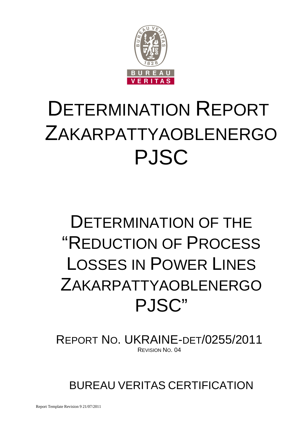

# DETERMINATION REPORT ZAKARPATTYAOBLENERGO PJSC

# DETERMINATION OF THE "REDUCTION OF PROCESS LOSSES IN POWER LINES ZAKARPATTYAOBLENERGO PJSC"

REPORT NO. UKRAINE-DET/0255/2011 REVISION NO. 04

BUREAU VERITAS CERTIFICATION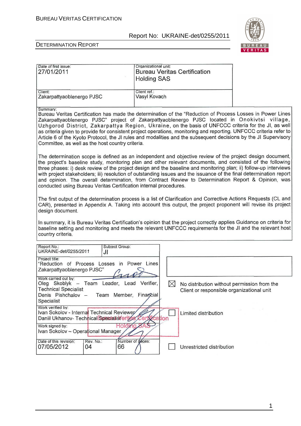

 $\overline{1}$ 

#### DETERMINATION REPORT

| Date of first issue:<br>27/01/2011                                                                                                                                                                                                                                                                                                                                                                                                                                                                                                                                                                                                              | Organizational unit:<br><b>Bureau Veritas Certification</b><br><b>Holding SAS</b> |                                                                                          |  |
|-------------------------------------------------------------------------------------------------------------------------------------------------------------------------------------------------------------------------------------------------------------------------------------------------------------------------------------------------------------------------------------------------------------------------------------------------------------------------------------------------------------------------------------------------------------------------------------------------------------------------------------------------|-----------------------------------------------------------------------------------|------------------------------------------------------------------------------------------|--|
| Client:<br>Zakarpattyaoblenergo PJSC                                                                                                                                                                                                                                                                                                                                                                                                                                                                                                                                                                                                            | Client ref.:<br>Vasyl Kovach                                                      |                                                                                          |  |
| Summary:<br>Bureau Veritas Certification has made the determination of the "Reduction of Process Losses in Power Lines<br>Zakarpattyaoblenergo PJSC" project of Zakarpattyaoblenergo PJSC located in Onokivtsi village,<br>Uzhgorod District, Zakarpattya Region, Ukraine, on the basis of UNFCCC criteria for the JI, as well<br>as criteria given to provide for consistent project operations, monitoring and reporting. UNFCCC criteria refer to<br>Article 6 of the Kyoto Protocol, the JI rules and modalities and the subsequent decisions by the JI Supervisory<br>Committee, as well as the host country criteria.                     |                                                                                   |                                                                                          |  |
| The determination scope is defined as an independent and objective review of the project design document,<br>the project's baseline study, monitoring plan and other relevant documents, and consisted of the following<br>three phases: i) desk review of the project design and the baseline and monitoring plan; ii) follow-up interviews<br>with project stakeholders; iii) resolution of outstanding issues and the issuance of the final determination report<br>and opinion. The overall determination, from Contract Review to Determination Report & Opinion, was<br>conducted using Bureau Veritas Certification internal procedures. |                                                                                   |                                                                                          |  |
| The first output of the determination process is a list of Clarification and Corrective Actions Requests (CL and<br>CAR), presented in Appendix A. Taking into account this output, the project proponent will revise its project<br>design document.                                                                                                                                                                                                                                                                                                                                                                                           |                                                                                   |                                                                                          |  |
| In summary, it is Bureau Veritas Certification's opinion that the project correctly applies Guidance on criteria for<br>baseline setting and monitoring and meets the relevant UNFCCC requirements for the JI and the relevant host<br>country criteria.                                                                                                                                                                                                                                                                                                                                                                                        |                                                                                   |                                                                                          |  |
| Report No.:<br>Subject Group:<br>UKRAINE-det/0255/2011<br>JI                                                                                                                                                                                                                                                                                                                                                                                                                                                                                                                                                                                    |                                                                                   |                                                                                          |  |
| Project title:<br>"Reduction of Process Losses in Power Lines<br>Zakarpattyaoblenergo PJSC"                                                                                                                                                                                                                                                                                                                                                                                                                                                                                                                                                     |                                                                                   |                                                                                          |  |
| Work carried out by:<br>Oleg Skoblyk - Team Leader, Lead Verifier,<br><b>Technical Specialist</b><br>Denis Pishchalov -<br>Team Member, Finarycial<br>Specialist                                                                                                                                                                                                                                                                                                                                                                                                                                                                                | $\bowtie$                                                                         | No distribution without permission from the<br>Client or responsible organizational unit |  |
| Work verified by:<br>Ivan Sokolov - Internal Technical Reviewer<br>Daniil Ukhanov- Technical Specialist eritos<br>Work signed by:<br>Holding 8                                                                                                                                                                                                                                                                                                                                                                                                                                                                                                  | cation<br>Ken                                                                     | Limited distribution                                                                     |  |
| Ivan Sokolov - Operational Manager<br>Rev. No.:<br>Date of this revision:<br>07/05/2012<br>04<br>66                                                                                                                                                                                                                                                                                                                                                                                                                                                                                                                                             | Number of dages:                                                                  | Unrestricted distribution                                                                |  |

1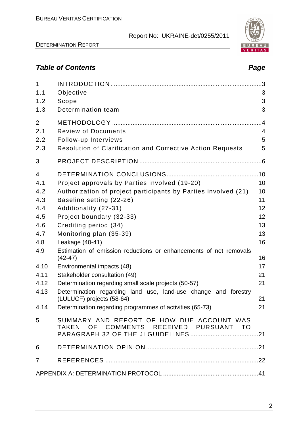DETERMINATION REPORT

# **Table of Contents Page 2018**

| $\mathbf{1}$   |                                                                                             |                 |
|----------------|---------------------------------------------------------------------------------------------|-----------------|
| 1.1            | Objective                                                                                   | 3               |
| 1.2            | Scope                                                                                       | 3               |
| 1.3            | Determination team                                                                          | 3               |
| 2              |                                                                                             | $\overline{.4}$ |
| 2.1            | <b>Review of Documents</b>                                                                  | 4               |
| 2.2            | Follow-up Interviews                                                                        | 5               |
| 2.3            | <b>Resolution of Clarification and Corrective Action Requests</b>                           | 5               |
| 3              |                                                                                             |                 |
| 4              |                                                                                             |                 |
| 4.1            | Project approvals by Parties involved (19-20)                                               | 10              |
| 4.2            | Authorization of project participants by Parties involved (21)                              | 10              |
| 4.3            | Baseline setting (22-26)                                                                    | 11              |
| 4.4            | Additionality (27-31)                                                                       | 12              |
| 4.5            | Project boundary (32-33)                                                                    | 12              |
| 4.6            | Crediting period (34)                                                                       | 13              |
| 4.7            | Monitoring plan (35-39)                                                                     | 13              |
| 4.8            | Leakage (40-41)                                                                             | 16              |
| 4.9            | Estimation of emission reductions or enhancements of net removals<br>$(42-47)$              | 16              |
| 4.10           | Environmental impacts (48)                                                                  | 17              |
| 4.11           | Stakeholder consultation (49)                                                               | 21              |
| 4.12           | Determination regarding small scale projects (50-57)                                        | 21              |
| 4.13           | Determination regarding land use, land-use change and forestry<br>(LULUCF) projects (58-64) | 21              |
| 4.14           | Determination regarding programmes of activities (65-73)                                    | 21              |
| 5              | SUMMARY AND REPORT OF HOW DUE ACCOUNT WAS<br>TAKEN OF COMMENTS RECEIVED PURSUANT TO         |                 |
| 6              |                                                                                             |                 |
| $\overline{7}$ |                                                                                             |                 |
|                |                                                                                             |                 |

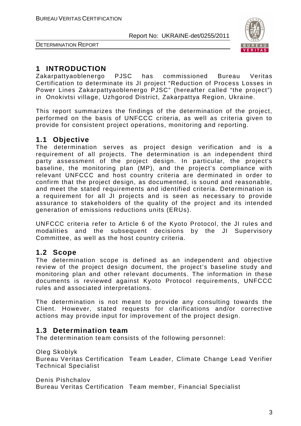

DETERMINATION REPORT

# **1 INTRODUCTION**

Zakarpattyaoblenergo PJSC has commissioned Bureau Veritas Certification to determinate its JI project "Reduction of Process Losses in Power Lines Zakarpattyaoblenergo PJSC" (hereafter called "the project") in Onokivtsi village, Uzhgorod District, Zakarpattya Region, Ukraine.

This report summarizes the findings of the determination of the project, performed on the basis of UNFCCC criteria, as well as criteria given to provide for consistent project operations, monitoring and reporting.

# **1.1 Objective**

The determination serves as project design verification and is a requirement of all projects. The determination is an independent third party assessment of the project design. In particular, the project's baseline, the monitoring plan (MP), and the project's compliance with relevant UNFCCC and host country criteria are derminated in order to confirm that the project design, as documented, is sound and reasonable, and meet the stated requirements and identified criteria. Determination is a requirement for all JI projects and is seen as necessary to provide assurance to stakeholders of the quality of the project and its intended generation of emissions reductions units (ERUs).

UNFCCC criteria refer to Article 6 of the Kyoto Protocol, the JI rules and modalities and the subsequent decisions by the JI Supervisory Committee, as well as the host country criteria.

# **1.2 Scope**

The determination scope is defined as an independent and objective review of the project design document, the project's baseline study and monitoring plan and other relevant documents. The information in these documents is reviewed against Kyoto Protocol requirements, UNFCCC rules and associated interpretations.

The determination is not meant to provide any consulting towards the Client. However, stated requests for clarifications and/or corrective actions may provide input for improvement of the project design.

# **1.3 Determination team**

The determination team consists of the following personnel:

Oleg Skoblyk

Bureau Veritas Certification Team Leader, Climate Change Lead Verifier Technical Specialist

Denis Pishchalov

Bureau Veritas Certification Team member, Financial Specialist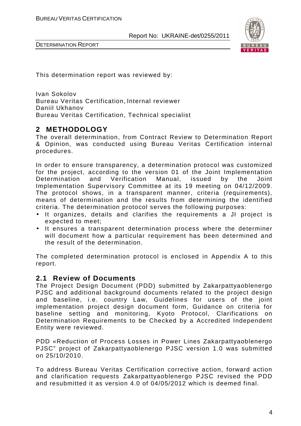

DETERMINATION REPORT

This determination report was reviewed by:

Ivan Sokolov Bureau Veritas Certification, Internal reviewer Daniil Ukhanov Bureau Veritas Certification, Technical specialist

# **2 METHODOLOGY**

The overall determination, from Contract Review to Determination Report & Opinion, was conducted using Bureau Veritas Certification internal procedures.

In order to ensure transparency, a determination protocol was customized for the project, according to the version 01 of the Joint Implementation Determination and Verification Manual, issued by the Joint Implementation Supervisory Committee at its 19 meeting on 04/12/2009. The protocol shows, in a transparent manner, criteria (requirements), means of determination and the results from determining the identified criteria. The determination protocol serves the following purposes:

- It organizes, details and clarifies the requirements a JI project is expected to meet;
- It ensures a transparent determination process where the determiner will document how a particular requirement has been determined and the result of the determination.

The completed determination protocol is enclosed in Appendix A to this report.

# **2.1 Review of Documents**

The Project Design Document (PDD) submitted by Zakarpattyaoblenergo PJSC and additional background documents related to the project design and baseline, i.e. country Law, Guidelines for users of the joint implementation project design document form, Guidance on criteria for baseline setting and monitoring, Kyoto Protocol, Clarifications on Determination Requirements to be Checked by a Accredited Independent Entity were reviewed.

PDD «Reduction of Process Losses in Power Lines Zakarpattyaoblenergo PJSC" project of Zakarpattyaoblenergo PJSC version 1.0 was submitted on 25/10/2010.

To address Bureau Veritas Certification corrective action, forward action and clarification requests Zakarpattyaoblenergo PJSC revised the PDD and resubmitted it as version 4.0 of 04/05/2012 which is deemed final.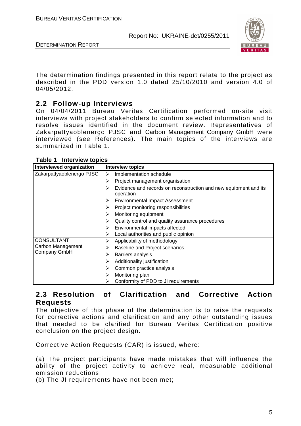

DETERMINATION REPORT

The determination findings presented in this report relate to the project as described in the PDD version 1.0 dated 25/10/2010 and version 4.0 of 04/05/2012.

# **2.2 Follow-up Interviews**

On 04/04/2011 Bureau Veritas Certification performed on-site visit interviews with project stakeholders to confirm selected information and to resolve issues identified in the document review. Representatives of Zakarpattyaoblenergo PJSC and Carbon Management Company GmbH were interviewed (see References). The main topics of the interviews are summarized in Table 1.

| Interviewed organization  | <b>Interview topics</b>                                                       |
|---------------------------|-------------------------------------------------------------------------------|
| Zakarpattyaoblenergo PJSC | Implementation schedule<br>➤                                                  |
|                           | Project management organisation<br>⋗                                          |
|                           | Evidence and records on reconstruction and new equipment and its<br>operation |
|                           | <b>Environmental Impact Assessment</b><br>⋗                                   |
|                           | Project monitoring responsibilities                                           |
|                           | Monitoring equipment                                                          |
|                           | Quality control and quality assurance procedures                              |
|                           | Environmental impacts affected<br>⋗                                           |
|                           | Local authorities and public opinion                                          |
| <b>CONSULTANT</b>         | Applicability of methodology<br>⋗                                             |
| Carbon Management         | <b>Baseline and Project scenarios</b>                                         |
| Company GmbH              | Barriers analysis<br>⋗                                                        |
|                           | Additionality justification                                                   |
|                           | Common practice analysis                                                      |
|                           | Monitoring plan<br>⋗                                                          |
|                           | Conformity of PDD to JI requirements                                          |

#### **Table 1 Interview topics**

# **2.3 Resolution of Clarification and Corrective Action Requests**

The objective of this phase of the determination is to raise the requests for corrective actions and clarification and any other outstanding issues that needed to be clarified for Bureau Veritas Certification positive conclusion on the project design.

Corrective Action Requests (CAR) is issued, where:

(a) The project participants have made mistakes that will influence the ability of the project activity to achieve real, measurable additional emission reductions;

(b) The JI requirements have not been met;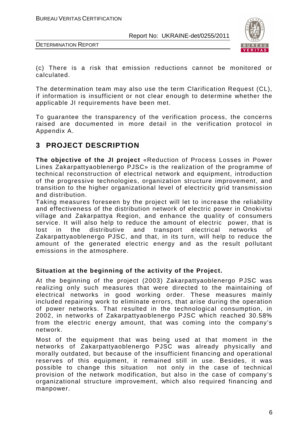

DETERMINATION REPORT

(c) There is a risk that emission reductions cannot be monitored or calculated.

The determination team may also use the term Clarification Request (CL), if information is insufficient or not clear enough to determine whether the applicable JI requirements have been met.

To guarantee the transparency of the verification process, the concerns raised are documented in more detail in the verification protocol in Appendix A.

# **3 PROJECT DESCRIPTION**

**The objective of the JI project** «Reduction of Process Losses in Power Lines Zakarpattyaoblenergo PJSC» is the realization of the programme of technical reconstruction of electrical network and equipment, introduction of the progressive technologies, organization structure improvement, and transition to the higher organizational level of electricity grid transmission and distribution.

Taking measures foreseen by the project will let to increase the reliability and effectiveness of the distribution network of electric power in Onokivtsi village and Zakarpattya Region, and enhance the quality of consumers service. It will also help to reduce the amount of electric power, that is lost in the distributive and transport electrical networks of Zakarpattyaoblenergo PJSC, and that, in its turn, will help to reduce the amount of the generated electric energy and as the result pollutant emissions in the atmosphere.

#### **Situation at the beginning of the activity of the Project.**

At the beginning of the project (2003) Zakarpattyaoblenergo PJSC was realizing only such measures that were directed to the maintaining of electrical networks in good working order. These measures mainly included repairing work to eliminate errors, that arise during the operation of power networks. That resulted in the technological consumption, in 2002, in networks of Zakarpattyaoblenergo PJSC which reached 30.58% from the electric energy amount, that was coming into the company's network.

Most of the equipment that was being used at that moment in the networks of Zakarpattyaoblenergo PJSC was already physically and morally outdated, but because of the insufficient financing and operational reserves of this equipment, it remained still in use. Besides, it was possible to change this situation not only in the case of technical provision of the network modification, but also in the case of company's organizational structure improvement, which also required financing and manpower.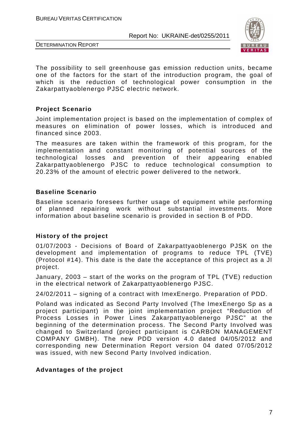



The possibility to sell greenhouse gas emission reduction units, became one of the factors for the start of the introduction program, the goal of which is the reduction of technological power consumption in the Zakarpattyaoblenergo PJSC electric network.

#### **Project Scenario**

Joint implementation project is based on the implementation of complex of measures on elimination of power losses, which is introduced and financed since 2003.

The measures are taken within the framework of this program, for the implementation and constant monitoring of potential sources of the technological losses and prevention of their appearing enabled Zakarpattyaoblenergo PJSC to reduce technological consumption to 20.23% of the amount of electric power delivered to the network.

#### **Baseline Scenario**

Baseline scenario foresees further usage of equipment while performing of planned repairing work without substantial investments. More information about baseline scenario is provided in section B of PDD.

#### **History of the project**

01/07/2003 - Decisions of Board of Zakarpattyaoblenergo PJSK on the development and implementation of programs to reduce TPL (ТVE) (Protocol #14). This date is the date the acceptance of this project as a JI project.

January, 2003 – start of the works on the program of TPL (ТVE) reduction in the electrical network of Zakarpattyaoblenergo PJSC.

24/02/2011 – signing of a contract with ImexEnergo. Preparation of PDD.

Poland was indicated as Second Party Involved (The ImexEnergo Sp as a project participant) in the joint implementation project "Reduction of Process Losses in Power Lines Zakarpattyaoblenergo PJSC" at the beginning of the determination process. The Second Party Involved was changed to Switzerland (project participant is CARBON MANAGEMENT COMPANY GMBH). The new PDD version 4.0 dated 04/05/2012 and corresponding new Determination Report version 04 dated 07/05/2012 was issued, with new Second Party Involved indication.

#### **Advantages of the project**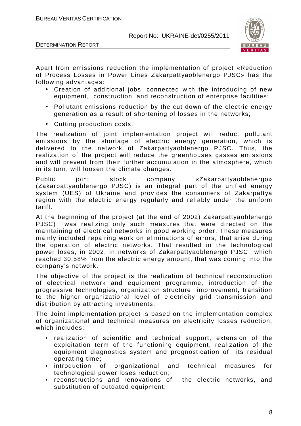



Apart from emissions reduction the implementation of project «Reduction of Process Losses in Power Lines Zakarpattyaoblenergo PJSC» has the following advantages:

- Creation of additional jobs, connected with the introducing of new equipment, construction and reconstruction of enterprise facilities;
- Pollutant emissions reduction by the cut down of the electric energy generation as a result of shortening of losses in the networks;
- Cutting production costs.

The realization of joint implementation project will reduct pollutant emissions by the shortage of electric energy generation, which is delivered to the network of Zakarpattyaoblenergo PJSC. Thus, the realization of the project will reduce the greenhouses gasses emissions and will prevent from their further accumulation in the atmosphere, which in its turn, will loosen the climate changes.

Public joint stock company «Zakarpattyaoblenergo» (Zakarpattyaoblenergo PJSC) is an integral part of the unified energy system (UES) of Ukraine and provides the consumers of Zakarpattya region with the electric energy regularly and reliably under the uniform tariff.

At the beginning of the project (at the end of 2002) Zakarpattyaoblenergo PJSC) was realizing only such measures that were directed on the maintaining of electrical networks in good working order. These measures mainly included repairing work on eliminations of errors, that arise during the operation of electric networks. That resulted in the technological power loses, in 2002, in networks of Zakarpattyaoblenergo PJSC which reached 30.58% from the electric energy amount, that was coming into the company's network.

The objective of the project is the realization of technical reconstruction of electrical network and equipment programme, introduction of the progressive technologies, organization structure improvement, transition to the higher organizational level of electricity grid transmission and distribution by attracting investments.

The Joint implementation project is based on the implementation complex of organizational and technical measures on electricity losses reduction, which includes:

- realization of scientific and technical support, extension of the exploitation term of the functioning equipment, realization of the equipment diagnostics system and prognostication of its residual operating time;
- introduction of organizational and technical measures for technological power loses reduction;
- reconstructions and renovations of the electric networks, and substitution of outdated equipment;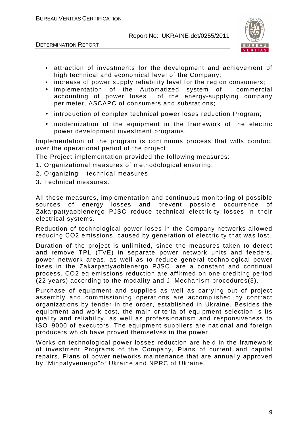



- attraction of investments for the development and achievement of high technical and economical level of the Company;
- increase of power supply reliability level for the region consumers;
- implementation of the Automatized system of commercial of the energy-supplying company perimeter, ASCAPC of consumers and substations;
- introduction of complex technical power loses reduction Program;
- modernization of the equipment in the framework of the electric power development investment programs.

Implementation of the program is continuous process that wills conduct over the operational period of the project.

The Project implementation provided the following measures:

- 1. Organizational measures of methodological ensuring.
- 2. Organizing technical measures.
- 3. Technical measures.

All these measures, implementation and continuous monitoring of possible sources of energy losses and prevent possible occurrence of Zakarpattyaoblenergo PJSC reduce technical electricity losses in their electrical systems.

Reduction of technological power loses in the Company networks allowed reducing СО2 emissions, caused by generation of electricity that was lost.

Duration of the project is unlimited, since the measures taken to detect and remove TPL (ТVE) in separate power network units and feeders, power network areas, as well as to reduce general technological power loses in the Zakarpattyaoblenergo PJSC, are a constant and continual process. CO2 eq emissions reduction are affirmed on one crediting period (22 years) according to the modality and JI Mechanism procedures(3).

Purchase of equipment and supplies as well as carrying out of project assembly and commissioning operations are accomplished by contract organizations by tender in the order, established in Ukraine. Besides the equipment and work cost, the main criteria of equipment selection is its quality and reliability, as well as professionatism and responsiveness to ISO–9000 of executors. The equipment suppliers are national and foreign producers which have proved themselves in the power.

Works on technological power losses reduction are held in the framework of investment Programs of the Company, Plans of current and capital repairs, Plans of power networks maintenance that are annually approved by "Minpalyvenergo"of Ukraine and NPRC of Ukraine.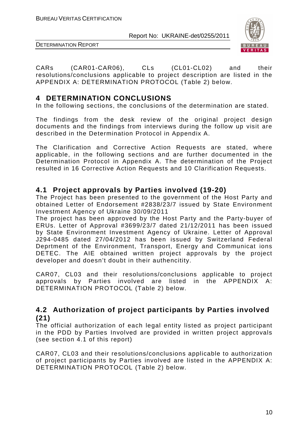



CARs (CAR01-CAR06), CLs (CL01-CL02) and their resolutions/conclusions applicable to project description are listed in the APPENDIX A: DETERMINATION PROTOCOL (Table 2) below.

# **4 DETERMINATION CONCLUSIONS**

In the following sections, the conclusions of the determination are stated.

The findings from the desk review of the original project design documents and the findings from interviews during the follow up visit are described in the Determination Protocol in Appendix A.

The Clarification and Corrective Action Requests are stated, where applicable, in the following sections and are further documented in the Determination Protocol in Appendix A. The determination of the Project resulted in 16 Corrective Action Requests and 10 Clarification Requests.

# **4.1 Project approvals by Parties involved (19-20)**

The Project has been presented to the government of the Host Party and obtained Letter of Endorsement #2838/23/7 issued by State Environment Investment Agency of Ukraine 30/09/2011

The project has been approved by the Host Party and the Party-buyer of ERUs. Letter of Approval #3699/23/7 dated 21/12/2011 has been issued by State Environment Investment Agency of Ukraine. Letter of Approval J294-0485 dated 27/04/2012 has been issued by Switzerland Federal Deprtment of the Environment, Transport, Energy and Communicat ions DETEC. The AIE obtained written project approvals by the project developer and doesn't doubt in their authencitity.

CAR07, CL03 and their resolutions/conclusions applicable to project approvals by Parties involved are listed in the APPENDIX A: DETERMINATION PROTOCOL (Table 2) below.

# **4.2 Authorization of project participants by Parties involved (21)**

The official authorization of each legal entity listed as project participant in the PDD by Parties Involved are provided in written project approvals (see section 4.1 of this report)

CAR07, CL03 and their resolutions/conclusions applicable to authorization of project participants by Parties involved are listed in the APPENDIX A: DETERMINATION PROTOCOL (Table 2) below.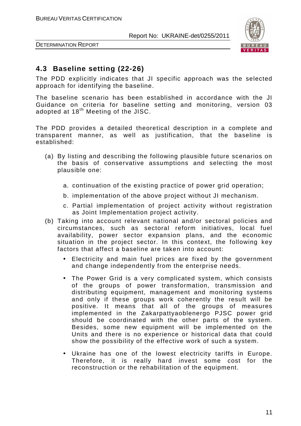

DETERMINATION REPORT

# **4.3 Baseline setting (22-26)**

The PDD explicitly indicates that JI specific approach was the selected approach for identifying the baseline.

The baseline scenario has been established in accordance with the JI Guidance on criteria for baseline setting and monitoring, version 03 adopted at  $18<sup>th</sup>$  Meeting of the JISC.

The PDD provides a detailed theoretical description in a complete and transparent manner, as well as justification, that the baseline is established:

- (a) By listing and describing the following plausible future scenarios on the basis of conservative assumptions and selecting the most plausible one:
	- a. continuation of the existing practice of power grid operation;
	- b. implementation of the above project without JI mechanism.
	- c. Partial implementation of project activity without registration as Joint Implementation project activity.
- (b) Taking into account relevant national and/or sectoral policies and circumstances, such as sectoral reform initiatives, local fuel availability, power sector expansion plans, and the economic situation in the project sector. In this context, the following key factors that affect a baseline are taken into account:
	- Electricity and main fuel prices are fixed by the government and change independently from the enterprise needs.
	- The Power Grid is a very complicated system, which consists of the groups of power transformation, transmission and distributing equipment, management and monitoring systems and only if these groups work coherently the result will be positive. It means that all of the groups of measures implemented in the Zakarpattyaoblenergo PJSC power grid should be coordinated with the other parts of the system. Besides, some new equipment will be implemented on the Units and there is no experience or historical data that could show the possibility of the effective work of such a system.
	- Ukraine has one of the lowest electricity tariffs in Europe. Therefore, it is really hard invest some cost for the reconstruction or the rehabilitation of the equipment.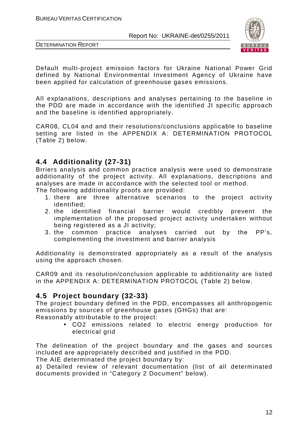



Default multi-project emission factors for Ukraine National Power Grid defined by National Environmental Investment Agency of Ukraine have been applied for calculation of greenhouse gases emissions.

All explanations, descriptions and analyses pertaining to the baseline in the PDD are made in accordance with the identified JI specific approach and the baseline is identified appropriately.

CAR08, CL04 and and their resolutions/conclusions applicable to baseline setting are listed in the APPENDIX A: DETERMINATION PROTOCOL (Table 2) below.

# **4.4 Additionality (27-31)**

Brriers analysis and common practice analysis were used to demonstrate additionality of the project activity. All explanations, descriptions and analyses are made in accordance with the selected tool or method.

The following additionality proofs are provided:

- 1. there are three alternative scenarios to the project activity identified;
- 2. the identified financial barrier would credibly prevent the implementation of the proposed project activity undertaken without being registered as a JI activity;
- 3. the common practice analyses carried out by the PP's, complementing the investment and barrier analysis

Additionality is demonstrated appropriately as a result of the analysis using the approach chosen.

CAR09 and its resolution/conclusion applicable to additionality are listed in the APPENDIX A: DETERMINATION PROTOCOL (Table 2) below.

# **4.5 Project boundary (32-33)**

The project boundary defined in the PDD, encompasses all anthropogenic emissions by sources of greenhouse gases (GHGs) that are: Reasonably attributable to the project:

• СО2 emissions related to electric energy production for electrical grid

The delineation of the project boundary and the gases and sources included are appropriately described and justified in the PDD.

The AIE determinated the project boundary by:

a) Detailed review of relevant documentation (list of all determinated documents provided in "Category 2 Document" below).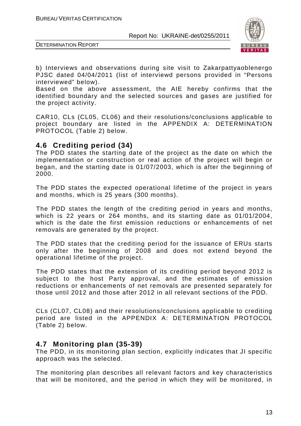

DETERMINATION REPORT

b) Interviews and observations during site visit to Zakarpattyaoblenergo PJSC dated 04/04/2011 (list of interviewd persons provided in "Persons interviewed" below).

Based on the above assessment, the AIE hereby confirms that the identified boundary and the selected sources and gases are justified for the project activity.

CAR10, CLs (CL05, CL06) and their resolutions/conclusions applicable to project boundary are listed in the APPENDIX A: DETERMINATION PROTOCOL (Table 2) below.

# **4.6 Crediting period (34)**

The PDD states the starting date of the project as the date on which the implementation or construction or real action of the project will begin or began, and the starting date is 01/07/2003, which is after the beginning of 2000.

The PDD states the expected operational lifetime of the project in years and months, which is 25 years (300 months).

The PDD states the length of the crediting period in years and months, which is 22 years or 264 months, and its starting date as 01/01/2004, which is the date the first emission reductions or enhancements of net removals are generated by the project.

The PDD states that the crediting period for the issuance of ERUs starts only after the beginning of 2008 and does not extend beyond the operational lifetime of the project.

The PDD states that the extension of its crediting period beyond 2012 is subject to the host Party approval, and the estimates of emission reductions or enhancements of net removals are presented separately for those until 2012 and those after 2012 in all relevant sections of the PDD.

CLs (CL07, CL08) and their resolutions/conclusions applicable to crediting period are listed in the APPENDIX A: DETERMINATION PROTOCOL (Table 2) below.

# **4.7 Monitoring plan (35-39)**

The PDD, in its monitoring plan section, explicitly indicates that JI specific approach was the selected.

The monitoring plan describes all relevant factors and key characteristics that will be monitored, and the period in which they will be monitored, in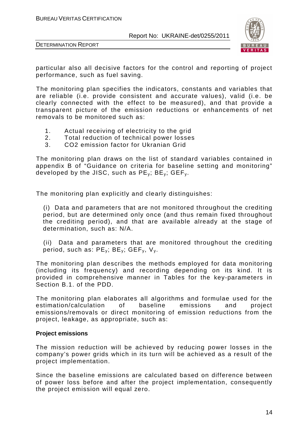



particular also all decisive factors for the control and reporting of project performance, such as fuel saving.

The monitoring plan specifies the indicators, constants and variables that are reliable (i.e. provide consistent and accurate values), valid (i.e. be clearly connected with the effect to be measured), and that provide a transparent picture of the emission reductions or enhancements of net removals to be monitored such as:

- 1. Actual receiving of electricity to the grid
- 2. Total reduction of technical power losses
- 3. CO2 emission factor for Ukranian Grid

The monitoring plan draws on the list of standard variables contained in appendix B of "Guidance on criteria for baseline setting and monitoring" developed by the JISC, such as  $PE_v$ ;  $BE_v$ ;  $GEF_v$ .

The monitoring plan explicitly and clearly distinguishes:

(i) Data and parameters that are not monitored throughout the crediting period, but are determined only once (and thus remain fixed throughout the crediting period), and that are available already at the stage of determination, such as: N/A.

(ii) Data and parameters that are monitored throughout the crediting period, such as:  $PE_v$ ;  $BE_v$ ;  $GEF_v$ ,  $V_v$ .

The monitoring plan describes the methods employed for data monitoring (including its frequency) and recording depending on its kind. It is provided in comprehensive manner in Tables for the key-parameters in Section B.1. of the PDD.

The monitoring plan elaborates all algorithms and formulae used for the estimation/calculation of baseline emissions and project emissions/removals or direct monitoring of emission reductions from the project, leakage, as appropriate, such as:

#### **Project emissions**

The mission reduction will be achieved by reducing power losses in the company's power grids which in its turn will be achieved as a result of the project implementation.

Since the baseline emissions are calculated based on difference between of power loss before and after the project implementation, consequently the project emission will equal zero.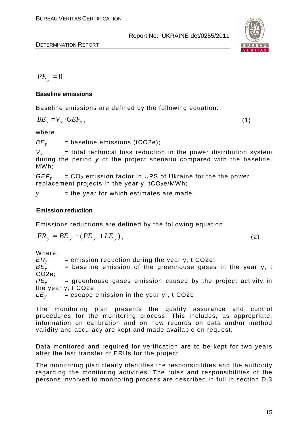

 $PE_{y} = 0$ 

#### **Baseline emissions**

Baseline emissions are defined by the following equation:

$$
BE_y = V_y \cdot GEF_y \tag{1}
$$

where

 $BE<sub>v</sub>$  = baseline emissions (tCO2e);

 $V_v$  = total technical loss reduction in the power distribution system during the period y of the project scenario compared with the baseline, MWh;

 $GEF<sub>v</sub> = CO<sub>2</sub>$  emission factor in UPS of Ukraine for the the power replacement projects in the year y,  $tCO<sub>2</sub>e/MWh$ ;

 $y =$  the year for which estimates are made.

#### **Emission reduction**

Emissions reductions are defined by the following equation:

$$
ER_y = BE_y - (PE_y + LE_y), \qquad (2)
$$

Where:

 $ER<sub>v</sub>$  = emission reduction during the year y, t CO2e;  $BE<sub>v</sub>$  = baseline emission of the greenhouse gases in the year y, t CO2e;  $PE<sub>v</sub>$  = greenhouse gases emission caused by the project activity in the year y, t CO2e;  $LE<sub>y</sub>$  = escape emission in the year y, t CO2e.

The monitoring plan presents the quality assurance and control procedures for the monitoring process. This includes, as appropriate, information on calibration and on how records on data and/or method validity and accuracy are kept and made available on request.

Data monitored and required for verification are to be kept for two years after the last transfer of ERUs for the project.

The monitoring plan clearly identifies the responsibilities and the authority regarding the monitoring activities. The roles and responsibilities of the persons involved to monitoring process are described in full in section D.3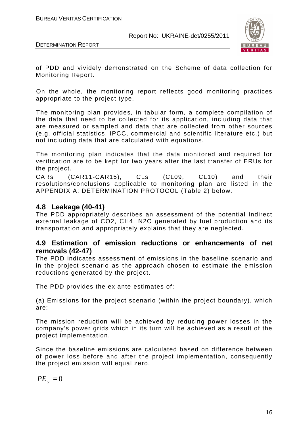

DETERMINATION REPORT

of PDD and vividely demonstrated on the Scheme of data collection for Monitoring Report.

On the whole, the monitoring report reflects good monitoring practices appropriate to the project type.

The monitoring plan provides, in tabular form, a complete compilation of the data that need to be collected for its application, including data that are measured or sampled and data that are collected from other sources (e.g. official statistics, IPCC, commercial and scientific literature etc.) but not including data that are calculated with equations.

The monitoring plan indicates that the data monitored and required for verification are to be kept for two years after the last transfer of ERUs for the project.

CARs (CAR11-CAR15), CLs (CL09, CL10) and their resolutions/conclusions applicable to monitoring plan are listed in the APPENDIX A: DETERMINATION PROTOCOL (Table 2) below.

# **4.8 Leakage (40-41)**

The PDD appropriately describes an assessment of the potential Indirect external leakage of CO2, СН4, N2O generated by fuel production and its transportation and appropriately explains that they are neglected.

# **4.9 Estimation of emission reductions or enhancements of net removals (42-47)**

The PDD indicates assessment of emissions in the baseline scenario and in the project scenario as the approach chosen to estimate the emission reductions generated by the project.

The PDD provides the ex ante estimates of:

(a) Emissions for the project scenario (within the project boundary), which are:

The mission reduction will be achieved by reducing power losses in the company's power grids which in its turn will be achieved as a result of the project implementation.

Since the baseline emissions are calculated based on difference between of power loss before and after the project implementation, consequently the project emission will equal zero.

 $PE_y = 0$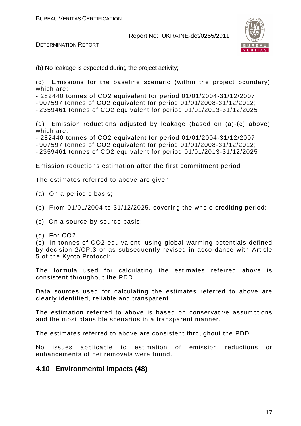

DETERMINATION REPORT

(b) No leakage is expected during the project activity;

(c) Emissions for the baseline scenario (within the project boundary), which are:

- 282440 tonnes of CO2 equivalent for period 01/01/2004-31/12/2007;

- 907597 tonnes of CO2 equivalent for period 01/01/2008-31/12/2012;

- 2359461 tonnes of CO2 equivalent for period 01/01/2013-31/12/2025

(d) Emission reductions adjusted by leakage (based on (a)-(c) above), which are:

- 282440 tonnes of CO2 equivalent for period 01/01/2004-31/12/2007;

- 907597 tonnes of CO2 equivalent for period 01/01/2008-31/12/2012;

- 2359461 tonnes of CO2 equivalent for period 01/01/2013-31/12/2025

Emission reductions estimation after the first commitment period

The estimates referred to above are given:

(a) On a periodic basis;

(b) From 01/01/2004 to 31/12/2025, covering the whole crediting period;

(c) On a source-by-source basis;

(d) For CO2

(e) In tonnes of CO2 equivalent, using global warming potentials defined by decision 2/CP.3 or as subsequently revised in accordance with Article 5 of the Kyoto Protocol;

The formula used for calculating the estimates referred above is consistent throughout the PDD.

Data sources used for calculating the estimates referred to above are clearly identified, reliable and transparent.

The estimation referred to above is based on conservative assumptions and the most plausible scenarios in a transparent manner.

The estimates referred to above are consistent throughout the PDD.

No issues applicable to estimation of emission reductions or enhancements of net removals were found.

# **4.10 Environmental impacts (48)**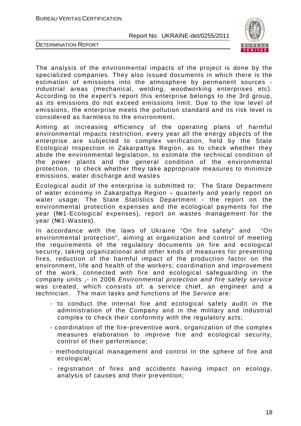

DETERMINATION REPORT

The analysis of the environmental impacts of the project is done by the specialized companies. They also issued documents in which there is the estimation of emissions into the atmosphere by permanent sources industrial areas (mechanical, welding, woodworking enterprises etc). According to the expert's report this enterprise belongs to the 3rd group, as its emissions do not exceed emissions limit. Due to the low level of emissions, the enterprise meets the pollution standard and its risk level is considered as harmless to the environment.

Aiming at increasing efficiency of the operating plans of harmful environmental impacts restriction, every year all the energy objects of the enterprise are subjected to complex verification, held by the State Ecological Inspection in Zakarpattya Region, as to check whether they abide the environmental legislation, to estimate the technical condition of the power plants and the general condition of the environmental protection, to check whether they take appropriate measures to minimize emissions, water discharge and wastes

Ecological audit of the enterprise is submitted to: The State Department of water economy in Zakarpattya Region – quarterly and yearly report on water usage; The State Statistics Department - the report on the environmental protection expenses and the ecological payments for the year (№1-Ecological expenses), report on wastes management for the year (№1-Wastes).

In accordance with the laws of Ukraine "On fire safety" and "On environmental protection", aiming at organization and control of meeting the requirements of the regulatory documents on fire and ecological security, taking organizational and other kinds of measures for preventing fires, reduction of the harmful impact of the production factor on the environment, life and health of the workers; coordination and improvement of the work, connected with fire and ecological safeguarding in the company units ,- in 2006 Environmental protection and fire safety service was created, which consists of: a service chief, an engineer and a technician. The main tasks and functions of the Service are:

- to conduct the internal fire and ecological safety audit in the administration of the Company and in the military and industrial complex to check their conformity with the regulatory acts;
- coordination of the fire-preventive work, organization of the complex measures elaboration to improve fire and ecological security, control of their performance;
- methodological management and control in the sphere of fire and ecological;
- registration of fires and accidents having impact on ecology, analysis of causes and their prevention;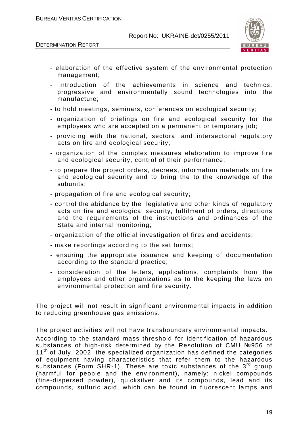

DETERMINATION REPORT

- elaboration of the effective system of the environmental protection management;
- introduction of the achievements in science and technics, progressive and environmentally sound technologies into the manufacture;
- to hold meetings, seminars, conferences on ecological security;
- organization of briefings on fire and ecological security for the employees who are accepted on a permanent or temporary job;
- providing with the national, sectoral and intersectoral regulatory acts on fire and ecological security;
- organization of the complex measures elaboration to improve fire and ecological security, control of their performance;
- to prepare the project orders, decrees, information materials on fire and ecological security and to bring the to the knowledge of the subunits;
- propagation of fire and ecological security;
- control the abidance by the legislative and other kinds of regulatory acts on fire and ecological security, fulfilment of orders, directions and the requirements of the instructions and ordinances of the State and internal monitoring;
- organization of the official investigation of fires and accidents;
- make reportings according to the set forms;
- ensuring the appropriate issuance and keeping of documentation according to the standard practice;
- consideration of the letters, applications, complaints from the employees and other organizations as to the keeping the laws on environmental protection and fire security.

The project will not result in significant environmental impacts in addition to reducing greenhouse gas emissions.

The project activities will not have transboundary environmental impacts.

According to the standard mass threshold for identification of hazardous substances of high-risk determined by the Resolution of CMU №956 of  $11<sup>th</sup>$  of July, 2002, the specialized organization has defined the categories of equipment having characteristics that refer them to the hazardous substances (Form  $\overline{SHR-1}$ ). These are toxic substances of the  $3^{rd}$  group (harmful for people and the environment), namely: nickel compounds (fine-dispersed powder), quicksilver and its compounds, lead and its compounds, sulfuric acid, which can be found in fluorescent lamps and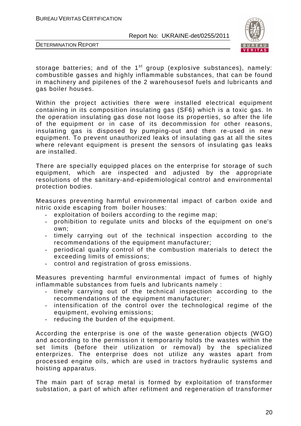

DETERMINATION REPORT

storage batteries; and of the  $1<sup>st</sup>$  group (explosive substances), namely: combustible gasses and highly inflammable substances, that can be found in machinery and pipilenes of the 2 warehousesof fuels and lubricants and gas boiler houses.

Within the project activities there were installed electrical equipment containing in its composition insulating gas (SF6) which is a toxic gas. In the operation insulating gas dose not loose its properties, so after the life of the equipment or in case of its decommission for other reasons, insulating gas is disposed by pumping-out and then re-used in new equipment. To prevent unauthorized leaks of insulating gas at all the sites where relevant equipment is present the sensors of insulating gas leaks are installed.

There are specially equipped places on the enterprise for storage of such equipment, which are inspected and adjusted by the appropriate resolutions of the sanitary-and-epidemiological control and environmental protection bodies.

Measures preventing harmful environmental impact of carbon oxide and nitric oxide escaping from boiler houses:

- exploitation of boilers according to the regime map;
- prohibition to regulate units and blocks of the equipment on one's own;
- timely carrying out of the technical inspection according to the recommendations of the equipment manufacturer;
- periodical quality control of the combustion materials to detect the exceeding limits of emissions;
- control and registration of gross emissions.

Measures preventing harmful environmental impact of fumes of highly inflammable substances from fuels and lubricants namely :

- timely carrying out of the technical inspection according to the recommendations of the equipment manufacturer;
- intensification of the control over the technological regime of the equipment, evolving emissions;
- reducing the burden of the equipment.

According the enterprise is one of the waste generation objects (WGO) and according to the permission it temporarily holds the wastes within the set limits (before their utilization or removal) by the specialized enterprizes. The enterprise does not utilize any wastes apart from processed engine oils, which are used in tractors hydraulic systems and hoisting apparatus.

The main part of scrap metal is formed by exploitation of transformer substation, a part of which after refitment and regeneration of transformer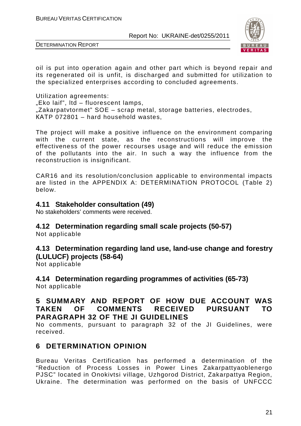



oil is put into operation again and other part which is beyond repair and its regenerated oil is unfit, is discharged and submitted for utilization to the specialized enterprises according to concluded agreements.

Utilization agreements:  $E<sub>o</sub>$  Eko laif", Itd – fluorescent lamps, ...Zakarpatvtormet" SOE – scrap metal, storage batteries, electrodes, КАТP 072801 – hard household wastes,

The project will make a positive influence on the environment comparing with the current state, as the reconstructions will improve the effectiveness of the power recourses usage and will reduce the emission of the pollutants into the air. In such a way the influence from the reconstruction is insignificant.

CAR16 and its resolution/conclusion applicable to environmental impacts are listed in the APPENDIX A: DETERMINATION PROTOCOL (Table 2) below.

# **4.11 Stakeholder consultation (49)**

No stakeholders' comments were received.

# **4.12 Determination regarding small scale projects (50-57)**

Not applicable

#### **4.13 Determination regarding land use, land-use change and forestry (LULUCF) projects (58-64)**

Not applicable

**4.14 Determination regarding programmes of activities (65-73)**  Not applicable

# **5 SUMMARY AND REPORT OF HOW DUE ACCOUNT WAS TAKEN OF COMMENTS RECEIVED PURSUANT TO PARAGRAPH 32 OF THE JI GUIDELINES**

No comments, pursuant to paragraph 32 of the JI Guidelines, were received.

# **6 DETERMINATION OPINION**

Bureau Veritas Certification has performed a determination of the "Reduction of Process Losses in Power Lines Zakarpattyaoblenergo PJSC" located in Onokivtsi village, Uzhgorod District, Zakarpattya Region, Ukraine. The determination was performed on the basis of UNFCCC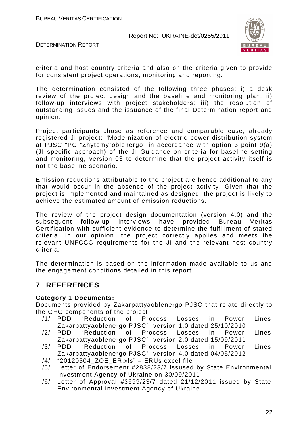



criteria and host country criteria and also on the criteria given to provide for consistent project operations, monitoring and reporting.

The determination consisted of the following three phases: i) a desk review of the project design and the baseline and monitoring plan; ii) follow-up interviews with project stakeholders; iii) the resolution of outstanding issues and the issuance of the final Determination report and opinion.

Project participants chose as reference and comparable case, already registered JI project: "Modernization of electric power distribution system at PJSC "PC "Zhytomyroblenergo" in accordance with option 3 point 9(a) (JI specific approach) of the JI Guidance on criteria for baseline setting and monitoring, version 03 to determine that the project activity itself is not the baseline scenario.

Emission reductions attributable to the project are hence additional to any that would occur in the absence of the project activity. Given that the project is implemented and maintained as designed, the project is likely to achieve the estimated amount of emission reductions.

The review of the project design documentation (version 4.0) and the subsequent follow-up interviews have provided Bureau Veritas Certification with sufficient evidence to determine the fulfillment of stated criteria. In our opinion, the project correctly applies and meets the relevant UNFCCC requirements for the JI and the relevant host country criteria.

The determination is based on the information made available to us and the engagement conditions detailed in this report.

# **7 REFERENCES**

#### **Category 1 Documents:**

Documents provided by Zakarpattyaoblenergo PJSC that relate directly to the GHG components of the project.

- /1/ PDD "Reduction of Process Losses in Power Lines Zakarpattyaoblenergo PJSC" version 1.0 dated 25/10/2010
- /2/ PDD "Reduction of Process Losses in Power Lines Zakarpattyaoblenergo PJSC" version 2.0 dated 15/09/2011
- /3/ PDD "Reduction of Process Losses in Power Lines Zakarpattyaoblenergo PJSC" version 4.0 dated 04/05/2012
- /4/ "20120504\_ZOE\_ER.xls" ERUs excel file
- /5/ Letter of Endorsement #2838/23/7 issused by State Environmental Investment Agency of Ukraine on 30/09/2011
- /6/ Letter of Approval #3699/23/7 dated 21/12/2011 issued by State Environmental Investment Agency of Ukraine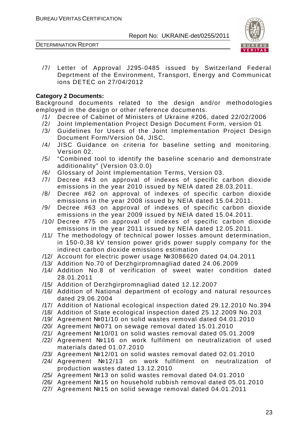

/7/ Letter of Approval J295-0485 issued by Switzerland Federal Deprtment of the Environment, Transport, Energy and Communicat ions DETEC on 27/04/2012

#### **Category 2 Documents:**

Background documents related to the design and/or methodologies employed in the design or other reference documents.

- /1/ Decree of Cabinet of Ministers of Ukraine #206, dated 22/02/2006
- /2/ Joint Implementation Project Design Document Form, version 01
- /3/ Guidelines for Users of the Joint Implementation Project Design Document Form/Version 04, JISC.
- /4/ JISC Guidance on criteria for baseline setting and monitoring. Version 02.
- /5/ "Combined tool to identify the baseline scenario and demonstrate additionality" (Version 03.0.0)
- /6/ Glossary of Joint Implementation Terms, Version 03.
- /7/ Decree #43 on approval of indexes of specific carbon dioxide emissions in the year 2010 issued by NEIA dated 28.03.2011.
- /8/ Decree #62 on approval of indexes of specific carbon dioxide emissions in the year 2008 issued by NEIA dated 15.04.2011.
- /9/ Decree #63 on approval of indexes of specific carbon dioxide emissions in the year 2009 issued by NEIA dated 15.04.2011.
- /10/ Decree #75 on approval of indexes of specific carbon dioxide emissions in the year 2011 issued by NEIA dated 12.05.2011.
- /11/ The methodology of technical power losses amount determination, in 150-0,38 kV tension power grids power supply company for the indirect carbon dioxide emissions estimation
- /12/ Account for electric power usage №3086620 dated 04.04.2011
- /13/ Addition No.70 of Derzhgirpromnagliad dated 24.06.2009
- /14/ Addition No.8 of verification of sweet water condition dated 28.01.2011
- /15/ Addition of Derzhgirpromnagliad dated 12.12.2007
- /16/ Addition of National department of ecology and natural resources dated 29.06.2004
- /17/ Addition of National ecological inspection dated 29.12.2010 No.394
- /18/ Addition of State ecological inspection dated 25.12.2009 No.203
- /19/ Agreement №01/10 on solid wastes removal dated 04.01.2010
- /20/ Agreement №071 on sewage removal dated 15.01.2010
- /21/ Agreement №10/01 on solid wastes removal dated 05.01.2009
- /22/ Agreement №116 on work fulfilment on neutralization of used materials dated 01.07.2010
- /23/ Agreement №12/01 on solid wastes removal dated 02.01.2010
- /24/ Agreement №12/13 on work fulfilment on neutralization of production wastes dated 13.12.2010
- /25/ Agreement №13 on solid wastes removal dated 04.01.2010
- /26/ Agreement №15 on household rubbish removal dated 05.01.2010
- /27/ Agreement №15 on solid sewage removal dated 04.01.2011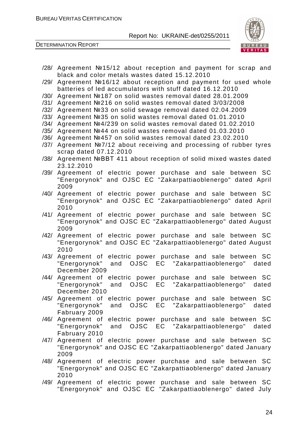



- /28/ Agreement №15/12 about reception and payment for scrap and black and color metals wastes dated 15.12.2010
- /29/ Agreement №16/12 about reception and payment for used whole batteries of led accumulators with stuff dated 16.12.2010
- /30/ Agreement №187 on solid wastes removal dated 28.01.2009
- /31/ Agreement №216 on solid wastes removal dated 3/03/2008
- /32/ Agreement №33 on solid sewage removal dated 02.04.2009
- /33/ Agreement №35 on solid wastes removal dated 01.01.2010
- /34/ Agreement №4/239 on solid wastes removal dated 01.02.2010
- /35/ Agreement №44 on solid wastes removal dated 01.03.2010
- /36/ Agreement №457 on solid wastes removal dated 23.02.2010
- /37/ Agreement №7/12 about receiving and processing of rubber tyres scrap dated 07.12.2010
- /38/ Agreement №ВВТ 411 about reception of solid mixed wastes dated 23.12.2010
- /39/ Agreement of electric power purchase and sale between SC "Energorynok" and OJSC EC "Zakarpattiaoblenergo" dated April 2009
- /40/ Agreement of electric power purchase and sale between SC "Energorynok" and OJSC EC "Zakarpattiaoblenergo" dated April 2010
- /41/ Agreement of electric power purchase and sale between SC "Energorynok" and OJSC EC "Zakarpattiaoblenergo" dated August 2009
- /42/ Agreement of electric power purchase and sale between SC "Energorynok" and OJSC EC "Zakarpattiaoblenergo" dated August 2010
- /43/ Agreement of electric power purchase and sale between SC "Energorynok" and OJSC EC "Zakarpattiaoblenergo" dated December 2009
- /44/ Agreement of electric power purchase and sale between SC "Energorynok" and OJSC EC "Zakarpattiaoblenergo" dated December 2010
- /45/ Agreement of electric power purchase and sale between SC "Energorynok" and OJSC EC "Zakarpattiaoblenergo" dated Fabruary 2009
- /46/ Agreement of electric power purchase and sale between SC "Energorynok" and OJSC EC "Zakarpattiaoblenergo" dated Fabruary 2010
- /47/ Agreement of electric power purchase and sale between SC "Energorynok" and OJSC EC "Zakarpattiaoblenergo" dated January 2009
- /48/ Agreement of electric power purchase and sale between SC "Energorynok" and OJSC EC "Zakarpattiaoblenergo" dated January 2010
- /49/ Agreement of electric power purchase and sale between SC "Energorynok" and OJSC EC "Zakarpattiaoblenergo" dated July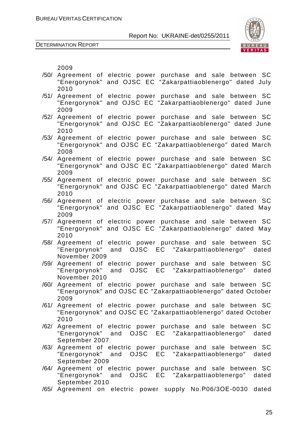

DETERMINATION REPORT

2009

- /50/ Agreement of electric power purchase and sale between SC "Energorynok" and OJSC EC "Zakarpattiaoblenergo" dated July 2010
- /51/ Agreement of electric power purchase and sale between SC "Energorynok" and OJSC EC "Zakarpattiaoblenergo" dated June 2009
- /52/ Agreement of electric power purchase and sale between SC "Energorynok" and OJSC EC "Zakarpattiaoblenergo" dated June 2010
- /53/ Agreement of electric power purchase and sale between SC "Energorynok" and OJSC EC "Zakarpattiaoblenergo" dated March 2008
- /54/ Agreement of electric power purchase and sale between SC "Energorynok" and OJSC EC "Zakarpattiaoblenergo" dated March 2009
- /55/ Agreement of electric power purchase and sale between SC "Energorynok" and OJSC EC "Zakarpattiaoblenergo" dated March 2010
- /56/ Agreement of electric power purchase and sale between SC "Energorynok" and OJSC EC "Zakarpattiaoblenergo" dated May 2009
- /57/ Agreement of electric power purchase and sale between SC "Energorynok" and OJSC EC "Zakarpattiaoblenergo" dated May 2010
- /58/ Agreement of electric power purchase and sale between SC "Energorynok" and OJSC EC "Zakarpattiaoblenergo" dated November 2009
- /59/ Agreement of electric power purchase and sale between SC "Energorynok" and OJSC EC "Zakarpattiaoblenergo" dated November 2010
- /60/ Agreement of electric power purchase and sale between SC "Energorynok" and OJSC EC "Zakarpattiaoblenergo" dated October 2009
- /61/ Agreement of electric power purchase and sale between SC "Energorynok" and OJSC EC "Zakarpattiaoblenergo" dated October 2010
- /62/ Agreement of electric power purchase and sale between SC "Energorynok" and OJSC EC "Zakarpattiaoblenergo" dated September 2007
- /63/ Agreement of electric power purchase and sale between SC "Energorynok" and OJSC EC "Zakarpattiaoblenergo" dated September 2009
- /64/ Agreement of electric power purchase and sale between SC "Energorynok" and OJSC EC "Zakarpattiaoblenergo" dated September 2010
- /65/ Agreement on electric power supply No.Р06/3ОЕ-0030 dated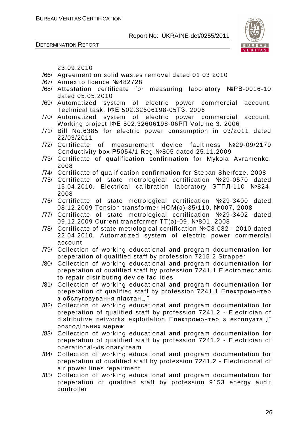

DETERMINATION REPORT

23.09.2010

- /66/ Agreement on solid wastes removal dated 01.03.2010
- /67/ Annex to licence №482728
- /68/ Attestation certificate for measuring laboratory №РВ-0016-10 dated 05.05.2010
- /69/ Automatized system of electric power commercial account. Technical task. ІФЕ 502.32606198-05ТЗ. 2006
- /70/ Automatized system of electric power commercial account. Working project ІФЕ 502.32606198-06РП Volume 3. 2006
- /71/ Bill No.6385 for electric power consumption in 03/2011 dated 22/03/2011
- /72/ Certificate of measurement device faultiness №29-09/2179 Conductivity box Р5054/1 Reg.№805 dated 25.11.2009
- /73/ Certificate of qualification confirmation for Mykola Avramenko. 2008
- /74/ Certificate of qualification confirmation for Stepan Sherfeze. 2008
- /75/ Certificate of state metrological certification №29-0570 dated 15.04.2010. Electrical calibration laboratory ЭТПЛ-110 №824, 2008
- /76/ Certificate of state metrological certification №29-3400 dated 08.12.2009 Tension transformer НОМ(э)-35/110, №007, 2008
- /77/ Certificate of state metrological certification №29-3402 dated 09.12.2009 Current transformer ТТ(э)-09, №801, 2008
- /78/ Certificate of state metrological certification №С8.082 2010 dated 22.04.2010. Automatized system of electric power commercial account
- /79/ Collection of working educational and program documentation for preperation of qualified staff by profession 7215.2 Strapper
- /80/ Collection of working educational and program documentation for preperation of qualified staff by profession 7241.1 Electromechanic to repair distributing device facilities
- /81/ Collection of working educational and program documentation for preperation of qualified staff by profession 7241.1 Електромонтер з обслуговування підстанції
- /82/ Collection of working educational and program documentation for preperation of qualified staff by profession 7241.2 - Electrician of distributive networks exploitation Електромонтер з експлуатації розподільних мереж
- /83/ Collection of working educational and program documentation for preperation of qualified staff by profession 7241.2 - Electrician of operational-visionary team
- /84/ Collection of working educational and program documentation for preperation of qualified staff by profession 7241.2 - Electricional of air power lines repairment
- /85/ Collection of working educational and program documentation for preperation of qualified staff by profession 9153 energy audit controller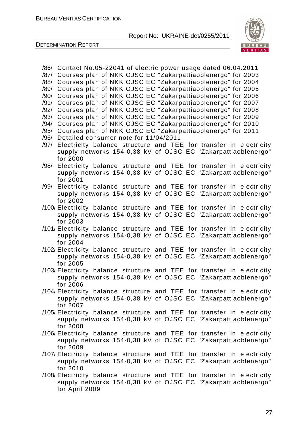

DETERMINATION REPORT

/86/ Contact No.05-22041 of electric power usage dated 06.04.2011 /87/ Courses plan of NKK OJSC EC "Zakarpattiaoblenergo" for 2003 /88/ Courses plan of NKK OJSC EC "Zakarpattiaoblenergo" for 2004 /89/ Courses plan of NKK OJSC EC "Zakarpattiaoblenergo" for 2005 /90/ Courses plan of NKK OJSC EC "Zakarpattiaoblenergo" for 2006 /91/ Courses plan of NKK OJSC EC "Zakarpattiaoblenergo" for 2007 /92/ Courses plan of NKK OJSC EC "Zakarpattiaoblenergo" for 2008 /93/ Courses plan of NKK OJSC EC "Zakarpattiaoblenergo" for 2009 /94/ Courses plan of NKK OJSC EC "Zakarpattiaoblenergo" for 2010 /95/ Courses plan of NKK OJSC EC "Zakarpattiaoblenergo" for 2011 /96/ Detailed consumer note for 11/04/2011 /97/ Electricity balance structure and TEE for transfer in electricity supply networks 154-0,38 kV of OJSC EC "Zakarpattiaoblenergo" for 2000 /98/ Electricity balance structure and TEE for transfer in electricity supply networks 154-0,38 kV of OJSC EC "Zakarpattiaoblenergo" for 2001 /99/ Electricity balance structure and TEE for transfer in electricity supply networks 154-0,38 kV of OJSC EC "Zakarpattiaoblenergo" for 2002 /100/ Electricity balance structure and TEE for transfer in electricity supply networks 154-0,38 kV of OJSC EC "Zakarpattiaoblenergo" for 2003 /101/ Electricity balance structure and TEE for transfer in electricity supply networks 154-0,38 kV of OJSC EC "Zakarpattiaoblenergo" for 2004 /102/ Electricity balance structure and TEE for transfer in electricity supply networks 154-0,38 kV of OJSC EC "Zakarpattiaoblenergo" for 2005 /103/ Electricity balance structure and TEE for transfer in electricity supply networks 154-0,38 kV of OJSC EC "Zakarpattiaoblenergo" for 2006 /104/ Electricity balance structure and TEE for transfer in electricity supply networks 154-0,38 kV of OJSC EC "Zakarpattiaoblenergo" for 2007 /105/ Electricity balance structure and TEE for transfer in electricity supply networks 154-0,38 kV of OJSC EC "Zakarpattiaoblenergo" for 2008 /106/ Electricity balance structure and TEE for transfer in electricity supply networks 154-0,38 kV of OJSC EC "Zakarpattiaoblenergo" for 2009 /107/ Electricity balance structure and TEE for transfer in electricity supply networks 154-0,38 kV of OJSC EC "Zakarpattiaoblenergo" for 2010 /108/ Electricity balance structure and TEE for transfer in electricity supply networks 154-0,38 kV of OJSC EC "Zakarpattiaoblenergo" for April 2009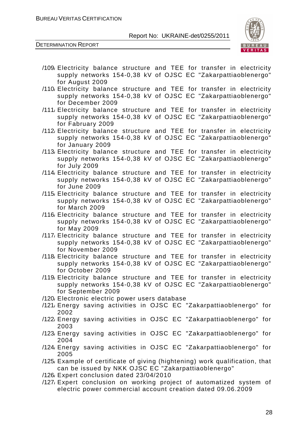

- /109/ Electricity balance structure and TEE for transfer in electricity supply networks 154-0,38 kV of OJSC EC "Zakarpattiaoblenergo" for August 2009
- /110/ Electricity balance structure and TEE for transfer in electricity supply networks 154-0,38 kV of OJSC EC "Zakarpattiaoblenergo" for December 2009
- /111/ Electricity balance structure and TEE for transfer in electricity supply networks 154-0,38 kV of OJSC EC "Zakarpattiaoblenergo" for Fabruary 2009
- /112/ Electricity balance structure and TEE for transfer in electricity supply networks 154-0,38 kV of OJSC EC "Zakarpattiaoblenergo" for January 2009
- /113/ Electricity balance structure and TEE for transfer in electricity supply networks 154-0,38 kV of OJSC EC "Zakarpattiaoblenergo" for July 2009
- /114/ Electricity balance structure and TEE for transfer in electricity supply networks 154-0,38 kV of OJSC EC "Zakarpattiaoblenergo" for June 2009
- /115/ Electricity balance structure and TEE for transfer in electricity supply networks 154-0,38 kV of OJSC EC "Zakarpattiaoblenergo" for March 2009
- /116/ Electricity balance structure and TEE for transfer in electricity supply networks 154-0,38 kV of OJSC EC "Zakarpattiaoblenergo" for May 2009
- /117/ Electricity balance structure and TEE for transfer in electricity supply networks 154-0,38 kV of OJSC EC "Zakarpattiaoblenergo" for November 2009
- /118/ Electricity balance structure and TEE for transfer in electricity supply networks 154-0,38 kV of OJSC EC "Zakarpattiaoblenergo" for October 2009
- /119/ Electricity balance structure and TEE for transfer in electricity supply networks 154-0,38 kV of OJSC EC "Zakarpattiaoblenergo" for September 2009
- /120/ Electronic electric power users database
- /121/ Energy saving activities in OJSC EC "Zakarpattiaoblenergo" for 2002
- /122/ Energy saving activities in OJSC EC "Zakarpattiaoblenergo" for 2003
- /123/ Energy saving activities in OJSC EC "Zakarpattiaoblenergo" for 2004
- /124/ Energy saving activities in OJSC EC "Zakarpattiaoblenergo" for 2005
- /125/ Example of certificate of giving (hightening) work qualification, that can be issued by NKK OJSC EC "Zakarpattiaoblenergo"
- /126/ Expert conclusion dated 23/04/2010
- /127/ Expert conclusion on working project of automatized system of electric power commercial account creation dated 09.06.2009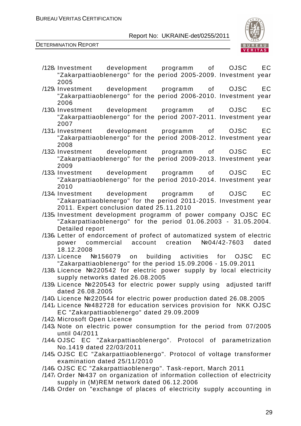

- /128/ Investment development programm of OJSC EC "Zakarpattiaoblenergo" for the period 2005-2009. Investment year 2005
- /129/ Investment development programm of OJSC EC "Zakarpattiaoblenergo" for the period 2006-2010. Investment year 2006
- /130/ Investment development programm of OJSC EC "Zakarpattiaoblenergo" for the period 2007-2011. Investment year 2007
- /131/ Investment development programm of OJSC EC "Zakarpattiaoblenergo" for the period 2008-2012. Investment year 2008
- /132/ Investment development programm of OJSC EC "Zakarpattiaoblenergo" for the period 2009-2013. Investment year 2009
- /133/ Investment development programm of OJSC EC "Zakarpattiaoblenergo" for the period 2010-2014. Investment year 2010
- /134/ Investment development programm of OJSC EC "Zakarpattiaoblenergo" for the period 2011-2015. Investment year 2011. Expert conclusion dated 25.11.2010
- /135/ Investment development programm of power company OJSC EC "Zakarpattiaoblenergo" for the period 01.06.2003 - 31.05.2004. Detailed report
- /136/ Letter of endorcement of profect of automatized system of electric power commercial account creation №04/42-7603 dated 18.12.2008
- /137/ Licence №156079 on building activities for OJSC EC "Zakarpattiaoblenergo" for the period 15.09.2006 - 15.09.2011
- /138/ Licence №220542 for electric power supply by local electricity supply networks dated 26.08.2005
- /139/ Licence №220543 for electric power supply using adjusted tariff dated 26.08.2005
- /140/ Licence №220544 for electric power production dated 26.08.2005
- /141/ Licence №482728 for education services provision for NKK OJSC EC "Zakarpattiaoblenergo" dated 29.09.2009
- /142/ Microsoft Open Licence
- /143/ Note on electric power consumption for the period from 07/2005 until 04/2011
- /144/ OJSC EC "Zakarpattiaoblenergo". Protocol of parametrization No.1419 dated 22/03/2011
- /145/ OJSC EC "Zakarpattiaoblenergo". Protocol of voltage transformer examination dated 25/11/2010
- /146/ OJSC EC "Zakarpattiaoblenergo". Task-report, March 2011
- /147/ Order №437 on organization of information collection of electricity supply in (M)REM network dated 06.12.2006
- /148/ Order on "exchange of places of electricity supply accounting in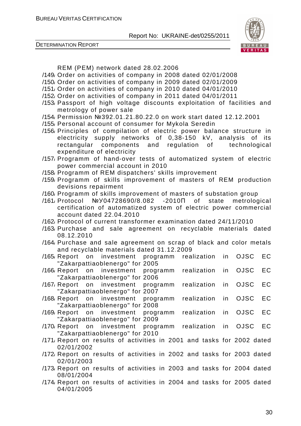

DETERMINATION REPORT

REM (PEM) network dated 28.02.2006

- /149/ Order on activities of company in 2008 dated 02/01/2008
- /150/ Order on activities of company in 2009 dated 02/01/2009
- /151/ Order on activities of company in 2010 dated 04/01/2010
- /152/ Order on activities of company in 2011 dated 04/01/2011
- /153/ Passport of high voltage discounts exploitation of facilities and metrology of power sale
- /154/ Permission №392.01.21.80.22.0 on work start dated 12.12.2001
- /155/ Personal account of consumer for Mykola Seredin
- /156/ Principles of compilation of electric power balance structure in electricity supply networks of 0,38-150 kV, analysis of its rectangular components and regulation of technological expenditure of electricity
- /157/ Programm of hand-over tests of automatized system of electric power commercial account in 2010
- /158/ Programm of REM dispatchers' skills improvement
- /159/ Programm of skills improvement of masters of REM production devisions repairment
- /160/ Programm of skills improvement of masters of substation group
- /161/ Protocol №У04728690/8.082 -2010П of state metrological certification of automatized system of electric power commercial account dated 22.04.2010
- /162/ Protocol of current transformer examination dated 24/11/2010
- /163/ Purchase and sale agreement on recyclable materials dated 08.12.2010
- /164/ Purchase and sale agreement on scrap of black and color metals and recyclable materials dated 31.12.2009
- /165/ Report on investment programm realization in OJSC EC "Zakarpattiaoblenergo" for 2005
- /166/ Report on investment programm realization in OJSC EC "Zakarpattiaoblenergo" for 2006
- /167/ Report on investment programm realization in OJSC EC "Zakarpattiaoblenergo" for 2007
- /168/ Report on investment programm realization in OJSC EC "Zakarpattiaoblenergo" for 2008
- /169/ Report on investment programm realization in OJSC EC "Zakarpattiaoblenergo" for 2009
- /170/ Report on investment programm realization in OJSC EC "Zakarpattiaoblenergo" for 2010
- /171/ Report on results of activities in 2001 and tasks for 2002 dated 02/01/2002
- /172/ Report on results of activities in 2002 and tasks for 2003 dated 02/01/2003
- /173/ Report on results of activities in 2003 and tasks for 2004 dated 08/01/2004
- /174/ Report on results of activities in 2004 and tasks for 2005 dated 04/01/2005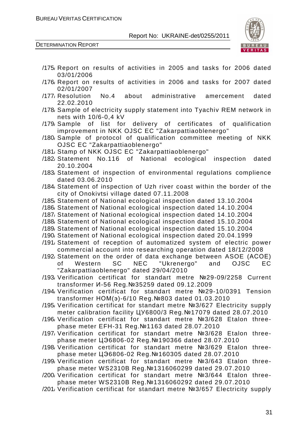

- /175/ Report on results of activities in 2005 and tasks for 2006 dated 03/01/2006 /176/ Report on results of activities in 2006 and tasks for 2007 dated
- 02/01/2007 /177/ Resolution No.4 about administrative amercement dated 22.02.2010
- /178/ Sample of electricity supply statement into Tyachiv REM network in nets with 10/6-0,4 kV
- /179/ Sample of list for delivery of certificates of qualification improvement in NKK OJSC EC "Zakarpattiaoblenergo"
- /180/ Sample of protocol of qualification committee meeting of NKK OJSC EC "Zakarpattiaoblenergo"
- /181/ Stamp of NKK OJSC EC "Zakarpattiaoblenergo"
- /182/ Statement No.116 of National ecological inspection dated 20.10.2004
- /183/ Statement of inspection of environmental regulations complience dated 03.06.2010
- /184/ Statement of inspection of Uzh river coast within the border of the city of Onokivtsi village dated 07.11.2008
- /185/ Statement of National ecological inspection dated 13.10.2004
- /186/ Statement of National ecological inspection dated 14.10.2004
- /187/ Statement of National ecological inspection dated 14.10.2004
- /188/ Statement of National ecological inspection dated 15.10.2004
- /189/ Statement of National ecological inspection dated 15.10.2004
- /190/ Statement of National ecological inspection dated 20.04.1999
- /191/ Statement of reception of automatized system of electric power commercial account into researching operation dated 18/12/2008
- /192/ Statement on the order of data exchange between ASOE (АСОЕ) of Western SC NEC "Ukrenergo" and OJSC EC "Zakarpattiaoblenergo" dated 29/04/2010
- /193/ Verification certificat for standart metre №29-09/2258 Current transformer И-56 Reg.№35259 dated 09.12.2009
- /194/ Verification certificat for standart metre №29-10/0391 Tension transformer НОМ(э)-6/10 Reg.№803 dated 01.03.2010
- /195/ Verification certificat for standart metre №3/627 Electricity supply meter calibration facility ЦУ6800/3 Reg.№17079 dated 28.07.2010
- /196/ Verification certificat for standart metre №3/628 Etalon threephase meter EFH-31 Reg.№1163 dated 28.07.2010
- /197/ Verification certificat for standart metre №3/628 Etalon threephase meter ЦЭ6806-02 Reg.№190366 dated 28.07.2010
- /198/ Verification certificat for standart metre №3/629 Etalon threephase meter ЦЭ6806-02 Reg.№160305 dated 28.07.2010
- /199/ Verification certificat for standart metre №3/643 Etalon threephase meter WS2310B Reg.№1316060299 dated 29.07.2010
- /200/ Verification certificat for standart metre №3/644 Etalon threephase meter WS2310B Reg.№1316060292 dated 29.07.2010
- /201/ Verification certificat for standart metre №3/657 Electricity supply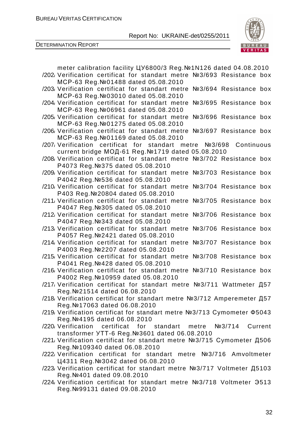

| meter calibration facility UY6800/3 Reg. Nº1N126 dated 04.08.2010             |
|-------------------------------------------------------------------------------|
| /202 Verification certificat for standart metre Nº3/693 Resistance box        |
| MCP-63 Reg. Nº01488 dated 05.08.2010                                          |
| /203/ Verification certificat for standart metre<br>Nº3/694 Resistance box    |
| MCP-63 Reg. Nº03010 dated 05.08.2010                                          |
| /204/ Verification certificat for standart metre<br>Nº3/695 Resistance box    |
| MCP-63 Reg. Nº06961 dated 05.08.2010                                          |
|                                                                               |
| /205 Verification certificat for standart metre<br>Nº3/696 Resistance box     |
| MCP-63 Reg. Nº01275 dated 05.08.2010                                          |
| /206/ Verification certificat for standart metre<br>Nº3/697 Resistance box    |
| MCP-63 Reg. Nº01169 dated 05.08.2010                                          |
| /207 Verification certificat for standart metre Nº3/698 Continuous            |
| current bridge МОД-61 Reg. №1719 dated 05.08.2010                             |
| /208 Verification certificat for standart metre Nº3/702 Resistance box        |
| P4073 Reg. Nº375 dated 05.08.2010                                             |
| /209 Verification certificat for standart metre Nº3/703 Resistance box        |
| P4042 Reg. Nº536 dated 05.08.2010                                             |
| Nº3/704 Resistance box<br>/210 Verification certificat for standart metre     |
|                                                                               |
| P403 Reg. Nº 20804 dated 05.08.2010                                           |
| /211, Verification certificat for standart metre<br>Nº3/705 Resistance<br>box |
| P4047 Reg. Nº305 dated 05.08.2010                                             |
| /212 Verification certificat for standart metre<br>Nº3/706 Resistance box     |
| P4047 Reg. Nº343 dated 05.08.2010                                             |
| Nº3/706 Resistance box<br>/213 Verification certificat for standart metre     |
| P4057 Reg. Nº2421 dated 05.08.2010                                            |
| /214 Verification certificat for standart metre<br>Nº3/707 Resistance box     |
| P4003 Reg. Nº2207 dated 05.08.2010                                            |
| /215/ Verification certificat for standart metre<br>Nº3/708 Resistance box    |
| P4041 Reg. Nº428 dated 05.08.2010                                             |
| /216 Verification certificat for standart metre Nº3/710 Resistance box        |
|                                                                               |
| P4002 Reg. Nº10959 dated 05.08.2010                                           |
| /217, Verification certificat for standart metre №3/711 Wattmeter Д57         |
| Reg. Nº 21514 dated 06.08.2010                                                |
| /218 Verification certificat for standart metre №3/712 Amperemeter Д57        |
| Reg. Nº17063 dated 06.08.2010                                                 |
| /219, Verification certificat for standart metre №3/713 Cymometer Ф5043       |
| Reg. Nº4195 dated 06.08.2010                                                  |
| /220 Verification certificat for standart metre №3/714<br>Current             |
| transformer YTT-6 Reg. № 3601 dated 06.08.2010                                |
| /221, Verification certificat for standart metre №3/715 Cymometer Д506        |
| Reg. Nº 109340 dated 06.08.2010                                               |
| /222 Verification certificat for standart metre №3/716 Amvoltmeter            |
|                                                                               |
| Ц4311 Reg. № 3042 dated 06.08.2010                                            |
| /223 Verification certificat for standart metre №3/717 Voltmeter Д5103        |
| Reg. Nº401 dated 09.08.2010                                                   |
| /224 Verification certificat for standart metre Nº3/718 Voltmeter 3513        |
| Reg. Nº 99131 dated 09.08.2010                                                |
|                                                                               |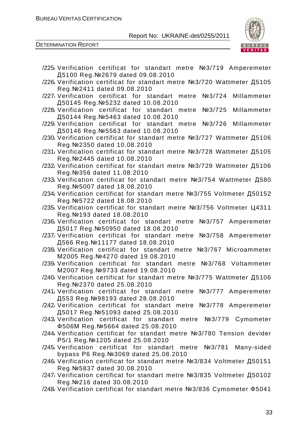

| /225 Verification certificat for standart metre №3/719 Amperemeter                                            |
|---------------------------------------------------------------------------------------------------------------|
| Д5100 Reg. №2679 dated 09.08.2010                                                                             |
| /226 Verification certificat for standart metre №3/720 Wattmeter Д5105<br>Reg. Nº 2411 dated 09.08.2010       |
| Nº3/724<br>Millammeter<br>/227 Verification certificat for standart metre                                     |
| Д50145 Reg. № 5232 dated 10.08.2010                                                                           |
| /228 Verification certificat for standart metre<br>Millammeter<br>Nº3/725                                     |
| Д50144 Reg. №5463 dated 10.08.2010                                                                            |
| /229 Verification certificat for standart metre<br>Nº3/726<br>Millammeter                                     |
| Д50146 Reg. № 5563 dated 10.08.2010<br>/230 Verification certificat for standart metre №3/727 Wattmeter Д5106 |
| Reg. №2350 dated 10.08.2010                                                                                   |
| /231, Verification certificat for standart metre №3/728 Wattmeter Д5105                                       |
| Reg. Nº 2445 dated 10.08.2010                                                                                 |
| /232 Verification certificat for standart metre №3/729 Wattmeter Д5106                                        |
| Reg. №356 dated 11.08.2010                                                                                    |
| /233 Verification certificat for standart metre №3/754 Wattmeter Д580                                         |
| Reg. Nº 5007 dated 18.08.2010                                                                                 |
| /234 Verification certificat for standart metre №3/755 Voltmeter Д50152                                       |
| Reg. Nº 5722 dated 18.08.2010                                                                                 |
| /235 Verification certificat for standart metre №3/756 Voltmeter Ц4311<br>Reg. №193 dated 18.08.2010          |
| /236 Verification certificat for standart metre №3/757 Amperemeter                                            |
| Д5017 Reg. № 50950 dated 18.08.2010                                                                           |
| /237/ Verification certificat for standart metre<br>Nº3/758<br>Amperemeter                                    |
| Д566 Reg. №11177 dated 18.08.2010                                                                             |
| /238 Verification certificat for standart metre<br>Nº3/767 Microammeter                                       |
| M2005 Reg. Nº4270 dated 19.08.2010<br>/239 Verification certificat for standart metre<br>Nº3/768 Voltammeter  |
| M2007 Reg. Nº9733 dated 19.08.2010                                                                            |
| /240 Verification certificat for standart metre №3/775 Wattmeter Д5106                                        |
| Reg. Nº 2370 dated 25.08.2010                                                                                 |
| /241, Verification certificat for standart metre №3/777 Amperemeter                                           |
| Д553 Reg. №98193 dated 28.08.2010                                                                             |
| /242 Verification certificat for standart metre №3/778 Amperemeter                                            |
| Д5017 Reg. № 51093 dated 25.08.2010                                                                           |
| /243/ Verification certificat for standart metre Nº3/779 Cymometer<br>Ф506M Reg. № 5664 dated 25.08.2010      |
| /244 Verification certificat for standart metre №3/780 Tension devider                                        |
| P5/1 Reg. №1205 dated 25.08.2010                                                                              |
| /245 Verification certificat for standart metre №3/781<br>Many-sided                                          |
| bypass P6 Reg. Nº 3069 dated 25.08.2010                                                                       |
| /246 Verification certificat for standart metre №3/834 Voltmeter Д50151                                       |
| Reg. №5837 dated 30.08.2010<br>/247, Verification certificat for standart metre №3/835 Voltmeter Д50102       |
| Reg. №216 dated 30.08.2010                                                                                    |
| /248 Verification certificat for standart metre №3/836 Cymometer Ф5041                                        |
|                                                                                                               |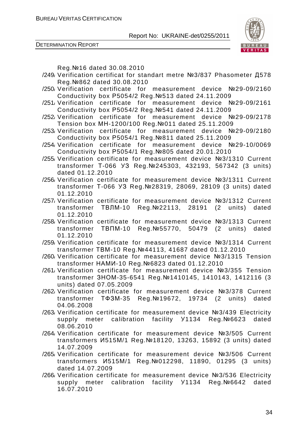DETERMINATION REPORT



Reg.№16 dated 30.08.2010

- /249/ Verification certificat for standart metre №3/837 Phasometer Д578 Reg.№862 dated 30.08.2010
- /250/ Verification certificate for measurement device №29-09/2160 Conductivity box Р5054/2 Reg.№513 dated 24.11.2009
- /251/ Verification certificate for measurement device №29-09/2161 Conductivity box Р5054/2 Reg.№541 dated 24.11.2009
- /252/ Verification certificate for measurement device №29-09/2178 Tension box МН-1200/100 Reg.№011 dated 25.11.2009
- /253/ Verification certificate for measurement device №29-09/2180 Conductivity box Р5054/1 Reg.№811 dated 25.11.2009
- /254/ Verification certificate for measurement device №29-10/0069 Conductivity box Р5054/1 Reg.№805 dated 20.01.2010
- /255/ Verification certificate for measurement device №3/1310 Current transformer Т-066 УЗ Reg.№245303, 432193, 567342 (3 units) dated 01.12.2010
- /256/ Verification certificate for measurement device №3/1311 Current transformer Т-066 УЗ Reg.№28319, 28069, 28109 (3 units) dated 01.12.2010
- /257/ Verification certificate for measurement device №3/1312 Current transformer ТВЛМ-10 Reg.№22113, 28191 (2 units) dated 01.12.2010
- /258/ Verification certificate for measurement device №3/1313 Current transformer ТВПМ-10 Reg.№55770, 50479 (2 units) dated 01.12.2010
- /259/ Verification certificate for measurement device №3/1314 Current transformer ТВМ-10 Reg.№44113, 41687 dated 01.12.2010
- /260/ Verification certificate for measurement device №3/1315 Tension transformer НАМИ-10 Reg.№6823 dated 01.12.2010
- /261/ Verification certificate for measurement device №3/355 Tension transformer ЗНОМ-35-6541 Reg.№1410145, 1410143, 1412116 (3 units) dated 07.05.2009
- /262/ Verification certificate for measurement device №3/378 Current transformer ТФЗМ-35 Reg.№19672, 19734 (2 units) dated 04.06.2008
- /263/ Verification certificate for measurement device №3/439 Electricity supply meter calibration facility У1134 Reg.№6623 dated 08.06.2010
- /264/ Verification certificate for measurement device №3/505 Current transformers И515М/1 Reg.№18120, 13263, 15892 (3 units) dated 14.07.2009
- /265/ Verification certificate for measurement device №3/506 Current transformers И515М/1 Reg.№012298, 11890, 01295 (3 units) dated 14.07.2009
- /266/ Verification certificate for measurement device №3/536 Electricity supply meter calibration facility Y1134 Reg.№6642 dated 16.07.2010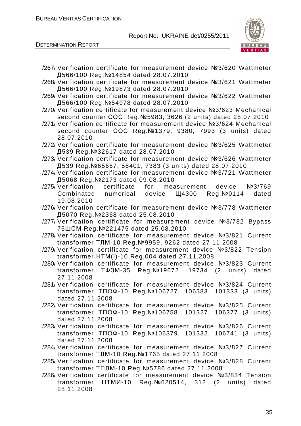

- /267/ Verification certificate for measurement device №3/620 Wattmeter Д566/100 Reg.№14854 dated 28.07.2010
- /268/ Verification certificate for measurement device №3/621 Wattmeter Д566/100 Reg.№19873 dated 28.07.2010
- /269/ Verification certificate for measurement device №3/622 Wattmeter Д566/100 Reg.№54978 dated 28.07.2010
- /270/ Verification certificate for measurement device №3/623 Mechanical second counter СОС Reg.№5983, 3626 (2 units) dated 28.07.2010
- /271/ Verification certificate for measurement device №3/624 Mechanical second counter COC Reg. Nº1379, 9380, 7993 (3 units) dated 28.07.2010
- /272/ Verification certificate for measurement device №3/625 Wattmeter Д539 Reg.№32617 dated 28.07.2010
- /273/ Verification certificate for measurement device №3/626 Wattmeter Д539 Reg.№65657, 56401, 7383 (3 units) dated 28.07.2010
- /274/ Verification certificate for measurement device №3/721 Wattmeter Д5068 Reg.№2173 dated 09.08.2010
- /275/ Verification certificate for measurement device №3/769 Combinated numerical device Щ4300 Reg.№0114 dated 19.08.2010
- /276/ Verification certificate for measurement device №3/778 Wattmeter Д5070 Reg.№2368 dated 25.08.2010
- /277/ Verification certificate for measurement device №3/782 Bypass 75ШСМ Reg.№221475 dated 25.08.2010
- /278/ Verification certificate for measurement device №3/821 Current transformer ТЛМ-10 Reg.№9959, 9262 dated 27.11.2008
- /279/ Verification certificate for measurement device №3/822 Tension transformer НТМ(і)-10 Reg.004 dated 27.11.2008
- /280/ Verification certificate for measurement device №3/823 Current transformer ТФЗМ-35 Reg.№19672, 19734 (2 units) dated 27.11.2008
- /281/ Verification certificate for measurement device №3/824 Current transformer ТПОФ-10 Reg.№106727, 106383, 101333 (3 units) dated 27.11.2008
- /282/ Verification certificate for measurement device №3/825 Current transformer ТПОФ-10 Reg.№106758, 101327, 106377 (3 units) dated 27.11.2008
- /283/ Verification certificate for measurement device №3/826 Current transformer ТПОФ-10 Reg.№106379, 101332, 106741 (3 units) dated 27.11.2008
- /284/ Verification certificate for measurement device №3/827 Current transformer ТЛМ-10 Reg.№1765 dated 27.11.2008
- /285/ Verification certificate for measurement device №3/828 Current transformer ТПЛМ-10 Reg.№5786 dated 27.11.2008
- /286/ Verification certificate for measurement device №3/834 Tension transformer НТМИ-10 Reg.№620514, 312 (2 units) dated 28.11.2008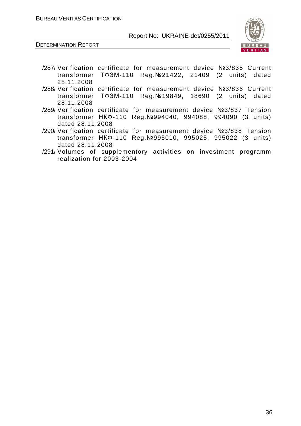

- /287/ Verification certificate for measurement device №3/835 Current transformer ТФЗМ-110 Reg.№21422, 21409 (2 units) dated 28.11.2008
- /288/ Verification certificate for measurement device №3/836 Current transformer ТФЗМ-110 Reg.№19849, 18690 (2 units) dated 28.11.2008
- /289/ Verification certificate for measurement device №3/837 Tension transformer НКФ-110 Reg.№994040, 994088, 994090 (3 units) dated 28.11.2008
- /290/ Verification certificate for measurement device №3/838 Tension transformer НКФ-110 Reg.№995010, 995025, 995022 (3 units) dated 28.11.2008
- /291/ Volumes of supplementory activities on investment programm realization for 2003-2004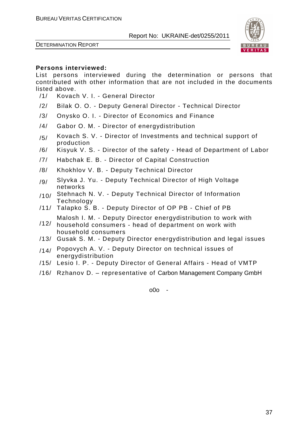



#### **Persons interviewed:**

List persons interviewed during the determination or persons that contributed with other information that are not included in the documents listed above.

- /1/ Kovach V. I. General Director
- /2/ Bilak O. O. Deputy General Director Technical Director
- /3/ Onysko O. I. Director of Economics and Finance
- /4/ Gabor O. M. Director of energydistribution
- $/5/$  Kovach S. V. Director of Investments and technical support of production
- /6/ Kisyuk V. S. Director of the safety Head of Department of Labor
- /7/ Habchak E. B. Director of Capital Construction
- /8/ Khokhlov V. B. Deputy Technical Director
- /g/ Slyvka J. Yu. Deputy Technical Director of High Voltage networks
- /10/ Stehnach N. V. Deputy Technical Director of Information **Technology**
- /11/ Talapko S. B. Deputy Director of OP PB Chief of PB Malosh I. M. - Deputy Director energydistribution to work with
- /12/ household consumers - head of department on work with household consumers
- /13/ Gusak S. M. Deputy Director energydistribution and legal issues
- /14/ Popovych A. V. Deputy Director on technical issues of energydistribution
- /15/ Lesio I. P. Deputy Director of General Affairs Head of VMTP
- /16/ Rzhanov D. representative of Carbon Management Company GmbH

o0o -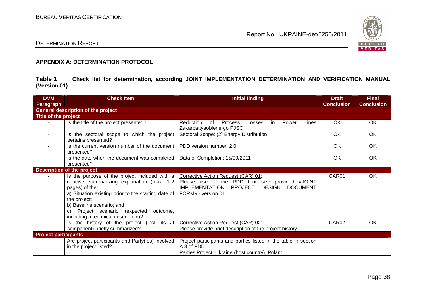

# DETERMINATION REPORT

#### **APPENDIX A: DETERMINATION PROTOCOL**

**Table 1 Check list for determination, according JOINT IMPLEMENTATION DETERMINATION AND VERIFICATION MANUAL (Version 01)** 

| <b>DVM</b>                  | <b>Check Item</b>                                                                                                                                                                                                                                                                                          | <b>Initial finding</b>                                                                                                                                               | <b>Draft</b>      | <b>Final</b>      |
|-----------------------------|------------------------------------------------------------------------------------------------------------------------------------------------------------------------------------------------------------------------------------------------------------------------------------------------------------|----------------------------------------------------------------------------------------------------------------------------------------------------------------------|-------------------|-------------------|
| <b>Paragraph</b>            |                                                                                                                                                                                                                                                                                                            |                                                                                                                                                                      | <b>Conclusion</b> | <b>Conclusion</b> |
|                             | <b>General description of the project</b>                                                                                                                                                                                                                                                                  |                                                                                                                                                                      |                   |                   |
| Title of the project        |                                                                                                                                                                                                                                                                                                            |                                                                                                                                                                      |                   |                   |
|                             | Is the title of the project presented?                                                                                                                                                                                                                                                                     | Reduction<br>of<br><b>Process</b><br>Power<br>in<br>Lines<br>Losses<br>Zakarpattyaoblenergo PJSC                                                                     | OK                | OK                |
| $\sim$                      | Is the sectoral scope to which the project<br>pertains presented?                                                                                                                                                                                                                                          | Sectoral Scope: (2) Energy Distribution                                                                                                                              | OK                | OK                |
|                             | Is the current version number of the document<br>presented?                                                                                                                                                                                                                                                | PDD version number: 2.0                                                                                                                                              | OK                | OK                |
|                             | Is the date when the document was completed<br>presented?                                                                                                                                                                                                                                                  | Data of Completion: 15/09/2011                                                                                                                                       | OK.               | <b>OK</b>         |
|                             | <b>Description of the project</b>                                                                                                                                                                                                                                                                          |                                                                                                                                                                      |                   |                   |
|                             | Is the purpose of the project included with a<br>concise, summarizing explanation (max. 1-2  <br>pages) of the:<br>a) Situation existing prior to the starting date of<br>the project;<br>b) Baseline scenario; and<br>Project scenario (expected<br>outcome,<br>C)<br>including a technical description)? | Corrective Action Request (CAR) 01:<br>Please use in the PDD font size provided «JOINT<br>IMPLEMENTATION PROJECT<br>DESIGN<br><b>DOCUMENT</b><br>FORM» - version 01. | CAR01             | OK                |
| $\sim$                      | Is the history of the project (incl. its JI<br>component) briefly summarized?                                                                                                                                                                                                                              | Corrective Action Request (CAR) 02:<br>Please provide brief description of the project history.                                                                      | CAR <sub>02</sub> | OK                |
| <b>Project participants</b> |                                                                                                                                                                                                                                                                                                            |                                                                                                                                                                      |                   |                   |
|                             | Are project participants and Party(ies) involved<br>in the project listed?                                                                                                                                                                                                                                 | Project participants and parties listed in the table in section<br>A.3 of PDD.<br>Parties Project: Ukraine (host country), Poland.                                   |                   |                   |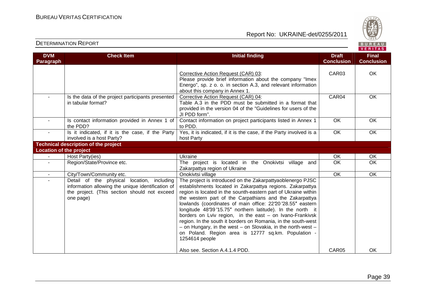

| <b>DETERMINATION REPORT</b> |  |
|-----------------------------|--|
|-----------------------------|--|

| <b>DVM</b><br>Paragraph        | <b>Check Item</b>                                                                                                                                            | Initial finding                                                                                                                                                                                                                                                                                                                                                                                                                                                                                                                                                                                                                                             | <b>Draft</b><br><b>Conclusion</b> | <b>Final</b><br><b>Conclusion</b> |
|--------------------------------|--------------------------------------------------------------------------------------------------------------------------------------------------------------|-------------------------------------------------------------------------------------------------------------------------------------------------------------------------------------------------------------------------------------------------------------------------------------------------------------------------------------------------------------------------------------------------------------------------------------------------------------------------------------------------------------------------------------------------------------------------------------------------------------------------------------------------------------|-----------------------------------|-----------------------------------|
|                                |                                                                                                                                                              | Corrective Action Request (CAR) 03:<br>Please provide brief information about the company "Imex<br>Energo", sp. z o. o. in section A.3, and relevant information<br>about this company in Annex 1.                                                                                                                                                                                                                                                                                                                                                                                                                                                          | CAR03                             | OK                                |
|                                | Is the data of the project participants presented<br>in tabular format?                                                                                      | Corrective Action Request (CAR) 04:<br>Table A.3 in the PDD must be submitted in a format that<br>provided in the version 04 of the "Guidelines for users of the<br>JI PDD form".                                                                                                                                                                                                                                                                                                                                                                                                                                                                           | CAR04                             | OK                                |
|                                | Is contact information provided in Annex 1 of<br>the PDD?                                                                                                    | Contact information on project participants listed in Annex 1<br>to PDD.                                                                                                                                                                                                                                                                                                                                                                                                                                                                                                                                                                                    | OK                                | OK                                |
| $\sim$                         | Is it indicated, if it is the case, if the Party<br>involved is a host Party?                                                                                | Yes, it is indicated, if it is the case, if the Party involved is a<br>host Party                                                                                                                                                                                                                                                                                                                                                                                                                                                                                                                                                                           | OK                                | OK                                |
|                                | <b>Technical description of the project</b>                                                                                                                  |                                                                                                                                                                                                                                                                                                                                                                                                                                                                                                                                                                                                                                                             |                                   |                                   |
| <b>Location of the project</b> |                                                                                                                                                              |                                                                                                                                                                                                                                                                                                                                                                                                                                                                                                                                                                                                                                                             |                                   |                                   |
|                                | Host Party(ies)                                                                                                                                              | Ukraine                                                                                                                                                                                                                                                                                                                                                                                                                                                                                                                                                                                                                                                     | <b>OK</b>                         | OK                                |
|                                | Region/State/Province etc.                                                                                                                                   | The project is located in the Onokivtsi village and<br>Zakarpattya region of Ukraine                                                                                                                                                                                                                                                                                                                                                                                                                                                                                                                                                                        | OK                                | OK                                |
| $\sim$                         | City/Town/Community etc.                                                                                                                                     | Onokivtsi village                                                                                                                                                                                                                                                                                                                                                                                                                                                                                                                                                                                                                                           | OK                                | OK                                |
| $\sim$                         | Detail of the physical location, including<br>information allowing the unique identification of<br>the project. (This section should not exceed<br>one page) | The project is introduced on the Zakarpattyaoblenergo PJSC<br>establishments located in Zakarpattya regions. Zakarpattya<br>region is located in the sounth-eastern part of Ukraine within<br>the western part of the Carpathians and the Zakarpattya<br>lowlands (coordinates of main office: 22'20'28.55" eastern<br>longitude 48°39'15.75" northern latitude). In the north it<br>borders on Lviv region, in the east - on Ivano-Frankivsk<br>region. In the south it borders on Romania, in the south-west<br>- on Hungary, in the west $-$ on Slovakia, in the north-west $-$<br>on Poland. Region area is 12777 sq.km. Population -<br>1254614 people |                                   |                                   |
|                                |                                                                                                                                                              | Also see. Section A.4.1.4 PDD.                                                                                                                                                                                                                                                                                                                                                                                                                                                                                                                                                                                                                              | CAR05                             | OK                                |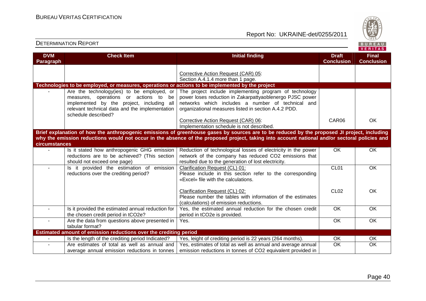

| <b>DVM</b>       | <b>Check Item</b>                                                                                                                                                                                         | <b>Initial finding</b>                                                                                                                                                                                                                                                                       | <b>Draft</b>      | <b>Final</b>      |
|------------------|-----------------------------------------------------------------------------------------------------------------------------------------------------------------------------------------------------------|----------------------------------------------------------------------------------------------------------------------------------------------------------------------------------------------------------------------------------------------------------------------------------------------|-------------------|-------------------|
| <b>Paragraph</b> |                                                                                                                                                                                                           |                                                                                                                                                                                                                                                                                              | <b>Conclusion</b> | <b>Conclusion</b> |
|                  | Technologies to be employed, or measures, operations or actions to be implemented by the project                                                                                                          | Corrective Action Request (CAR) 05:<br>Section A.4.1.4 more than 1 page.                                                                                                                                                                                                                     |                   |                   |
|                  | Are the technology(ies) to be employed, or<br>measures, operations or actions to be<br>implemented by the project, including all<br>relevant technical data and the implementation<br>schedule described? | The project include implementing program of technology<br>power loses reduction in Zakarpattyaoblenergo PJSC power<br>networks which includes a number of technical and<br>organizational measures listed in section A.4.2 PDD.                                                              |                   |                   |
|                  |                                                                                                                                                                                                           | Corrective Action Request (CAR) 06:<br>Implementation schedule is not described.                                                                                                                                                                                                             | CAR06             | <b>OK</b>         |
| circumstances    |                                                                                                                                                                                                           | Brief explanation of how the anthropogenic emissions of greenhouse gases by sources are to be reduced by the proposed JI project, including<br>why the emission reductions would not occur in the absence of the proposed project, taking into account national and/or sectoral policies and |                   |                   |
|                  | Is it stated how anthropogenic GHG emission<br>reductions are to be achieved? (This section<br>should not exceed one page)                                                                                | Reduction of technological losses of electricity in the power<br>network of the company has reduced CO2 emissions that<br>resulted due to the generation of lost electricity.                                                                                                                | <b>OK</b>         | <b>OK</b>         |
|                  | Is it provided the estimation of emission<br>reductions over the crediting period?                                                                                                                        | Clarification Request (CL) 01:<br>Please include in this section refer to the corresponding<br>«Excel» file with the calculations.                                                                                                                                                           | CL01              | <b>OK</b>         |
|                  |                                                                                                                                                                                                           | Clarification Request (CL) 02:<br>Please number the tables with information of the estimates<br>(calculations) of emission reductions.                                                                                                                                                       | CL <sub>02</sub>  | OK                |
|                  | Is it provided the estimated annual reduction for<br>the chosen credit period in tCO2e?                                                                                                                   | Yes, the estimated annual reduction for the chosen credit<br>period in tCO2e is provided.                                                                                                                                                                                                    | $\overline{OK}$   | <b>OK</b>         |
| $\blacksquare$   | Are the data from questions above presented in<br>tabular format?                                                                                                                                         | Yes.                                                                                                                                                                                                                                                                                         | OK                | <b>OK</b>         |
|                  | Estimated amount of emission reductions over the crediting period                                                                                                                                         |                                                                                                                                                                                                                                                                                              |                   |                   |
|                  | Is the length of the crediting period Indicated?                                                                                                                                                          | Yes, leight of crediting period is 22 years (264 months).                                                                                                                                                                                                                                    | OK                | OK                |
|                  | Are estimates of total as well as annual and<br>average annual emission reductions in tonnes                                                                                                              | Yes, estimates of total as well as annual and average annual<br>emission reductions in tonnes of CO2 equivalent provided in                                                                                                                                                                  | OK                | OK                |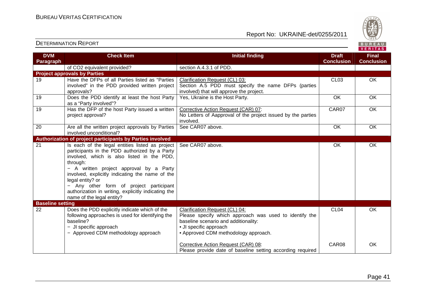

| <b>DVM</b>              | <b>Check Item</b>                                         | <b>Initial finding</b>                                       | <b>Draft</b>      | <b>Final</b>      |
|-------------------------|-----------------------------------------------------------|--------------------------------------------------------------|-------------------|-------------------|
| Paragraph               |                                                           |                                                              | <b>Conclusion</b> | <b>Conclusion</b> |
|                         | of CO2 equivalent provided?                               | section A.4.3.1 of PDD.                                      |                   |                   |
|                         | <b>Project approvals by Parties</b>                       |                                                              |                   |                   |
| 19                      | Have the DFPs of all Parties listed as "Parties           | Clarification Request (CL) 03:                               | CL <sub>03</sub>  | <b>OK</b>         |
|                         | involved" in the PDD provided written project             | Section A.5 PDD must specify the name DFPs (parties          |                   |                   |
|                         | approvals?                                                | involved) that will approve the project.                     |                   |                   |
| 19                      | Does the PDD identify at least the host Party             | Yes, Ukraine is the Host Party.                              | OK                | OK                |
|                         | as a "Party involved"?                                    |                                                              |                   |                   |
| 19                      | Has the DFP of the host Party issued a written            | Corrective Action Request (CAR) 07:                          | CAR07             | OK                |
|                         | project approval?                                         | No Letters of Aapproval of the project issued by the parties |                   |                   |
|                         |                                                           | involved.                                                    |                   |                   |
| 20                      | Are all the written project approvals by Parties          | See CAR07 above.                                             | OK                | OK                |
|                         | involved unconditional?                                   |                                                              |                   |                   |
|                         | Authorization of project participants by Parties involved |                                                              |                   |                   |
| $\overline{21}$         | Is each of the legal entities listed as project           | See CAR07 above.                                             | OK                | OK                |
|                         | participants in the PDD authorized by a Party             |                                                              |                   |                   |
|                         | involved, which is also listed in the PDD,                |                                                              |                   |                   |
|                         | through:                                                  |                                                              |                   |                   |
|                         | - A written project approval by a Party                   |                                                              |                   |                   |
|                         | involved, explicitly indicating the name of the           |                                                              |                   |                   |
|                         | legal entity? or                                          |                                                              |                   |                   |
|                         | - Any other form of project participant                   |                                                              |                   |                   |
|                         | authorization in writing, explicitly indicating the       |                                                              |                   |                   |
|                         | name of the legal entity?                                 |                                                              |                   |                   |
| <b>Baseline setting</b> |                                                           |                                                              |                   |                   |
| 22                      | Does the PDD explicitly indicate which of the             | Clarification Request (CL) 04:                               | CL <sub>04</sub>  | OK                |
|                         | following approaches is used for identifying the          | Please specify which approach was used to identify the       |                   |                   |
|                         | baseline?                                                 | baseline scenario and additionality:                         |                   |                   |
|                         | - JI specific approach                                    | • JI specific approach                                       |                   |                   |
|                         | - Approved CDM methodology approach                       | • Approved CDM methodology approach.                         |                   |                   |
|                         |                                                           | Corrective Action Request (CAR) 08:                          | CAR08             | OK                |
|                         |                                                           | Please provide date of baseline setting according required   |                   |                   |
|                         |                                                           |                                                              |                   |                   |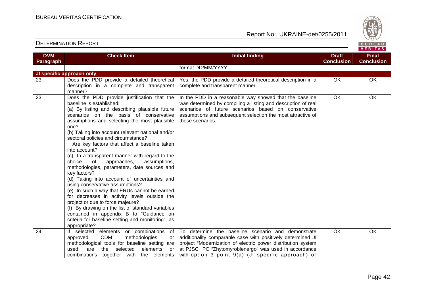

| <b>DVM</b> | <b>Check Item</b>                                                                                                                                                                                                                                                                                                                                                                                                                                                                                                                                                                                                                                                                                                                                                                                                                                                                                                                                    | <b>Initial finding</b>                                                                                                                                                                                                                                                                                | <b>Draft</b>      | <b>Final</b>      |
|------------|------------------------------------------------------------------------------------------------------------------------------------------------------------------------------------------------------------------------------------------------------------------------------------------------------------------------------------------------------------------------------------------------------------------------------------------------------------------------------------------------------------------------------------------------------------------------------------------------------------------------------------------------------------------------------------------------------------------------------------------------------------------------------------------------------------------------------------------------------------------------------------------------------------------------------------------------------|-------------------------------------------------------------------------------------------------------------------------------------------------------------------------------------------------------------------------------------------------------------------------------------------------------|-------------------|-------------------|
| Paragraph  |                                                                                                                                                                                                                                                                                                                                                                                                                                                                                                                                                                                                                                                                                                                                                                                                                                                                                                                                                      |                                                                                                                                                                                                                                                                                                       | <b>Conclusion</b> | <b>Conclusion</b> |
|            |                                                                                                                                                                                                                                                                                                                                                                                                                                                                                                                                                                                                                                                                                                                                                                                                                                                                                                                                                      | format DD/MM/YYYY.                                                                                                                                                                                                                                                                                    |                   |                   |
|            | JI specific approach only                                                                                                                                                                                                                                                                                                                                                                                                                                                                                                                                                                                                                                                                                                                                                                                                                                                                                                                            |                                                                                                                                                                                                                                                                                                       |                   |                   |
| 23         | Does the PDD provide a detailed theoretical<br>description in a complete and transparent<br>manner?                                                                                                                                                                                                                                                                                                                                                                                                                                                                                                                                                                                                                                                                                                                                                                                                                                                  | Yes, the PDD provide a detailed theoretical description in a<br>complete and transparent manner.                                                                                                                                                                                                      | OK                | OK                |
| 23         | Does the PDD provide justification that the<br>baseline is established:<br>(a) By listing and describing plausible future<br>scenarios on the basis of conservative<br>assumptions and selecting the most plausible<br>one?<br>(b) Taking into account relevant national and/or<br>sectoral policies and circumstance?<br>- Are key factors that affect a baseline taken<br>into account?<br>(c) In a transparent manner with regard to the<br>of<br>approaches,<br>assumptions,<br>choice<br>methodologies, parameters, date sources and<br>key factors?<br>(d) Taking into account of uncertainties and<br>using conservative assumptions?<br>(e) In such a way that ERUs cannot be earned<br>for decreases in activity levels outside the<br>project or due to force majeure?<br>(f) By drawing on the list of standard variables<br>contained in appendix B to "Guidance on<br>criteria for baseline setting and monitoring", as<br>appropriate? | In the PDD in a reasonable way showed that the baseline<br>was determined by compiling a listing and description of real<br>scenarios of future scenarios based on conservative<br>assumptions and subsequent selection the most attractive of<br>these scenarios.                                    | OK                | OK                |
| 24         | If selected elements or combinations<br>of<br><b>CDM</b><br>methodologies<br>approved<br>or<br>methodological tools for baseline setting are<br>elements<br>are<br>selected<br>used,<br>the<br>or<br>combinations together with the elements                                                                                                                                                                                                                                                                                                                                                                                                                                                                                                                                                                                                                                                                                                         | To determine the baseline scenario and demonstrate<br>additionality comparable case with positively determined JI<br>project "Modernization of electric power distribution system<br>at PJSC "PC "Zhytomyroblenergo" was used in accordance<br>with option $3$ point $9(a)$ (JI specific approach) of | <b>OK</b>         | OK                |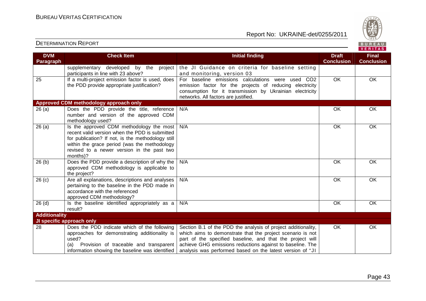

| <b>DVM</b>           | <b>Check Item</b>                                         | <b>Initial finding</b>                                                                                               | <b>Draft</b>      | <b>Final</b>      |
|----------------------|-----------------------------------------------------------|----------------------------------------------------------------------------------------------------------------------|-------------------|-------------------|
| Paragraph            |                                                           |                                                                                                                      | <b>Conclusion</b> | <b>Conclusion</b> |
|                      | supplementary developed by the project                    | the JI Guidance on criteria for baseline setting                                                                     |                   |                   |
|                      | participants in line with 23 above?                       | and monitoring, version 03                                                                                           |                   |                   |
| 25                   | If a multi-project emission factor is used, does          | For baseline emissions calculations were used CO2                                                                    | $\overline{OK}$   | OK                |
|                      | the PDD provide appropriate justification?                | emission factor for the projects of reducing electricity<br>consumption for it transmission by Ukrainian electricity |                   |                   |
|                      |                                                           | networks. All factors are justified.                                                                                 |                   |                   |
|                      | Approved CDM methodology approach only                    |                                                                                                                      |                   |                   |
| 26(a)                | Does the PDD provide the title, reference                 | N/A                                                                                                                  | <b>OK</b>         | OK                |
|                      | number and version of the approved CDM                    |                                                                                                                      |                   |                   |
|                      | methodology used?                                         |                                                                                                                      |                   |                   |
| 26(a)                | Is the approved CDM methodology the most                  | N/A                                                                                                                  | $\overline{OK}$   | OK                |
|                      | recent valid version when the PDD is submitted            |                                                                                                                      |                   |                   |
|                      | for publication? If not, is the methodology still         |                                                                                                                      |                   |                   |
|                      | within the grace period (was the methodology              |                                                                                                                      |                   |                   |
|                      | revised to a newer version in the past two                |                                                                                                                      |                   |                   |
|                      | months)?                                                  |                                                                                                                      |                   |                   |
| 26(b)                | Does the PDD provide a description of why the             | N/A                                                                                                                  | <b>OK</b>         | OK                |
|                      | approved CDM methodology is applicable to<br>the project? |                                                                                                                      |                   |                   |
| 26(c)                | Are all explanations, descriptions and analyses           | N/A                                                                                                                  | OK                | OK                |
|                      | pertaining to the baseline in the PDD made in             |                                                                                                                      |                   |                   |
|                      | accordance with the referenced                            |                                                                                                                      |                   |                   |
|                      | approved CDM methodology?                                 |                                                                                                                      |                   |                   |
| 26(d)                | Is the baseline identified appropriately as a             | N/A                                                                                                                  | OK                | OK                |
|                      | result?                                                   |                                                                                                                      |                   |                   |
| <b>Additionality</b> |                                                           |                                                                                                                      |                   |                   |
|                      | JI specific approach only                                 |                                                                                                                      |                   |                   |
| 28                   | Does the PDD indicate which of the following              | Section B.1 of the PDD the analysis of project additionality,                                                        | OK                | OK                |
|                      | approaches for demonstrating additionality is             | which aims to demonstrate that the project scenario is not                                                           |                   |                   |
|                      | used?                                                     | part of the specified baseline, and that the project will                                                            |                   |                   |
|                      | (a)<br>Provision of traceable and transparent             | achieve GHG emissions reductions against to baseline. The                                                            |                   |                   |
|                      | information showing the baseline was identified           | analysis was performed based on the latest version of "JI                                                            |                   |                   |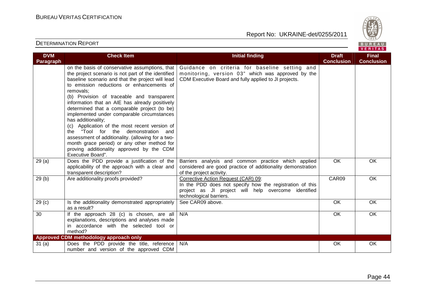

| <b>DVM</b>        | <b>Check Item</b>                                                                                                                                                                                                                                                                                                                                                                                                                                                                                                                                                                                                                                                                                    | <b>Initial finding</b>                                                                                                                                                            | <b>Draft</b>      | <b>Final</b>      |
|-------------------|------------------------------------------------------------------------------------------------------------------------------------------------------------------------------------------------------------------------------------------------------------------------------------------------------------------------------------------------------------------------------------------------------------------------------------------------------------------------------------------------------------------------------------------------------------------------------------------------------------------------------------------------------------------------------------------------------|-----------------------------------------------------------------------------------------------------------------------------------------------------------------------------------|-------------------|-------------------|
| <b>Paragraph</b>  |                                                                                                                                                                                                                                                                                                                                                                                                                                                                                                                                                                                                                                                                                                      |                                                                                                                                                                                   | <b>Conclusion</b> | <b>Conclusion</b> |
|                   | on the basis of conservative assumptions, that<br>the project scenario is not part of the identified<br>baseline scenario and that the project will lead<br>to emission reductions or enhancements of<br>removals:<br>(b) Provision of traceable and transparent<br>information that an AIE has already positively<br>determined that a comparable project (to be)<br>implemented under comparable circumstances<br>has additionality;<br>(c) Application of the most recent version of<br>the "Tool for the demonstration and<br>assessment of additionality. (allowing for a two-<br>month grace period) or any other method for<br>proving additionality approved by the CDM<br>Executive Board". | Guidance on criteria for baseline setting and<br>monitoring, version 03" which was approved by the<br>CDM Executive Board and fully applied to JI projects.                       |                   |                   |
| 29(a)             | Does the PDD provide a justification of the<br>applicability of the approach with a clear and<br>transparent description?                                                                                                                                                                                                                                                                                                                                                                                                                                                                                                                                                                            | Barriers analysis and common practice which applied<br>considered are good practice of additionality demonstration<br>of the project activity.                                    | OK                | OK                |
| 29(b)             | Are additionality proofs provided?                                                                                                                                                                                                                                                                                                                                                                                                                                                                                                                                                                                                                                                                   | Corrective Action Request (CAR) 09:<br>In the PDD does not specify how the registration of this<br>project as JI project will help overcome identified<br>technological barriers. | CAR09             | <b>OK</b>         |
| 29 <sub>(c)</sub> | Is the additionality demonstrated appropriately<br>as a result?                                                                                                                                                                                                                                                                                                                                                                                                                                                                                                                                                                                                                                      | See CAR09 above.                                                                                                                                                                  | OK                | OK                |
| 30                | If the approach 28 (c) is chosen, are all<br>explanations, descriptions and analyses made<br>in accordance with the selected tool or<br>method?                                                                                                                                                                                                                                                                                                                                                                                                                                                                                                                                                      | N/A                                                                                                                                                                               | OK                | OK                |
|                   | Approved CDM methodology approach only                                                                                                                                                                                                                                                                                                                                                                                                                                                                                                                                                                                                                                                               |                                                                                                                                                                                   |                   |                   |
| 31(a)             | Does the PDD provide the title, reference<br>number and version of the approved CDM                                                                                                                                                                                                                                                                                                                                                                                                                                                                                                                                                                                                                  | N/A                                                                                                                                                                               | OK                | OK                |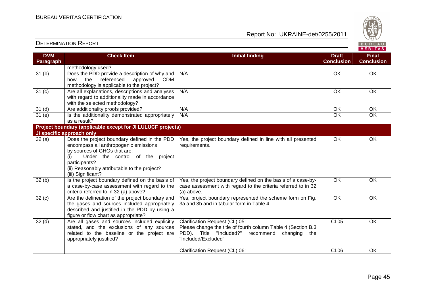Report No: UKRAINE-det/0255/2011



#### **VERITAS Check Item Initial finding Check Item Initial finding Check Item Initial finding Check Item Initial finding Check DVM Final Paragraph Conclusion Conclusion** methodology used? 31 (b) Does the PDD provide a description of why and N/A OK OK OK how the referenced approved CDM methodology is applicable to the project? 31 (c) Are all explanations, descriptions and analyses N/A OK OK OK with regard to additionality made in accordance with the selected methodology? 31 (d) | Are additionality proofs provided? | N/A OK | OK 31 (e) Is the additionality demonstrated appropriately  $\overline{OK}$ N/A OK OK OK as a result? **Project boundary (applicable except for JI LULUCF projects) JI specific approach only** Yes, the project boundary defined in line with all presented OK OK 32 (a) Does the project boundary defined in the PDDencompass all anthropogenic emissions requirements. by sources of GHGs that are: (i) Under the control of the project participants? (ii) Reasonably attributable to the project? (iii) Significant?  $32(b)$  Is the project boundary defined on the basis of Yes, the project boundary defined on the basis of a case-by-OK OK case assessment with regard to the criteria referred to in 32 a case-by-case assessment with regard to the criteria referred to in 32 (a) above? (a) above.  $32 (c)$  Are the delineation of the project boundary and Yes, project boundary represented the scheme form on Fig. OK OK the gases and sources included appropriately 3a and 3b and in tabular form in Table 4. described and justified in the PDD by using a figure or flow chart as appropriate? Clarification Request (CL) 05:OK 32 (d) Are all gases and sources included explicitly CL05 stated, and the exclusions of any sources Please change the title of fourth column Table 4 (Section B.3 related to the baseline or the project are PDD). Title "Included?" recommend changing the appropriately justified? "Included/Excluded" Clarification Request (CL) 06:CL06 OK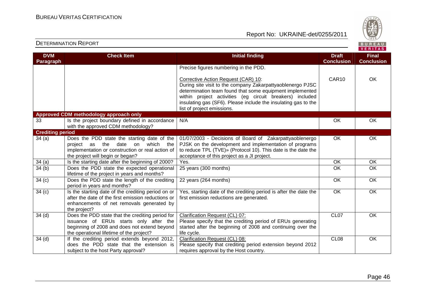Report No: UKRAINE-det/0255/2011



#### **VERITAS Check Item Initial finding Check Item Initial finding Check Item Initial finding Check Item Initial finding Check DVM Final Paragraph Conclusion Conclusion** Precise figures numbering in the PDD. Corrective Action Request (CAR) 10: CAR10 OK During site visit to the company Zakarpattyaoblenergo PJSC determination team found that some equipment implemented within project activities (eg circuit breakers) included insulating gas (SF6). Please include the insulating gas to the list of project emissions. **Approved CDM methodology approach only** 33 **Is the project boundary defined in accordance** N/A OK OK OK with the approved CDM methodology? **Crediting period**  $34$  (a)  $\hbox{\textsf{Does}}$  the PDD state the starting date of the 01/07/2003 - Decisions of Board of Zakarpattyaoblenergo OK OK project as the date on which the PJSK on the development and implementation of programs implementation or construction or real action of to reduce TPL (ТVE)» (Protocol 10). This date is the date the the project will begin or began? acceptance of this project as a JI project. 34 (a) Is the starting date after the beginning of 2000? Yes. OK OK 34 (b) Does the PDD state the expected operational 25 years (300 months) OK  $\overline{OK}$ lifetime of the project in years and months? 22 years (264 months) OK OK  $34 (c)$  Does the PDD state the length of the crediting period in years and months?  $34 (c)$  Is the starting date of the crediting period on or Yes, starting date of the crediting period is after the date the OK OK after the date of the first emission reductions or first emission reductions are generated. enhancements of net removals generated by the project? 34 (d) Does the PDD state that the crediting period for Clarification Request (CL) 07:CL07 OK issuance of ERUs starts only after the Please specify that the crediting period of ERUs generating beginning of 2008 and does not extend beyond started after the beginning of 2008 and continuing over the the operational lifetime of the project? life cycle. 34 (d) | If the crediting period extends beyond 2012, Clarification Request (CL) 08:CL08 OK does the PDD state that the extension is Please specify that crediting period extension beyond 2012 subject to the host Party approval? requires approval by the Host country.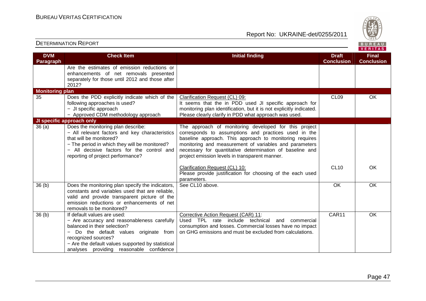Report No: UKRAINE-det/0255/2011



#### **VERITAS Check Item Initial finding Check Item Initial finding Check Item Initial finding Check Item Initial finding Check DVM Final Paragraph Conclusion Conclusion** Are the estimates of emission reductions or enhancements of net removals presented separately for those until 2012 and those after 2012? **Monitoring plan**  35 Does the PDD explicitly indicate which of the Clarification Request (CL) 09:CL09 OK following approaches is used? It seems that the in PDD used JI specific approach for − JI specific approach monitoring plan identification, but it is not explicitly indicated. Please clearly clarify in PDD what approach was used. − Approved CDM methodology approach **JI specific approach only**  36 (a) Does the monitoring plan describe: The approach of monitoring developed for this project − All relevant factors and key characteristics corresponds to assumptions and practices used in the that will be monitored? baseline approach. This approach to monitoring requires − The period in which they will be monitored? monitoring and measurement of variables and parameters − All decisive factors for the control and necessary for quantitative determination of baseline and reporting of project performance? project emission levels in transparent manner. Clarification Request (CL) 10:CL10 OK Please provide justification for choosing of the each used parameters. 36 (b) Does the monitoring plan specify the indicators, See CL10 above. 
OK OK OK constants and variables used that are reliable, valid and provide transparent picture of the emission reductions or enhancements of net removals to be monitored? 36 (b) If default values are used: Corrective Action Request (CAR) 11: CAR11 OK − Are accuracy and reasonableness carefully Used TPL rate include technical and commercial balanced in their selection? consumption and losses. Commercial losses have no impact − Do the default values originate from on GHG emissions and must be excluded from calculations. recognized sources? − Are the default values supported by statistical analyses providing reasonable confidence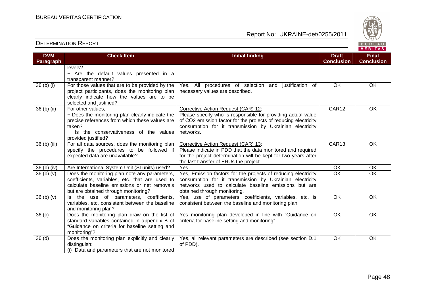

| <b>DVM</b>        | <b>Check Item</b>                                                                                                                                                                                  | <b>Initial finding</b>                                                                                                                                                                                                                          | <b>Draft</b>      | <b>Final</b>      |
|-------------------|----------------------------------------------------------------------------------------------------------------------------------------------------------------------------------------------------|-------------------------------------------------------------------------------------------------------------------------------------------------------------------------------------------------------------------------------------------------|-------------------|-------------------|
| <b>Paragraph</b>  |                                                                                                                                                                                                    |                                                                                                                                                                                                                                                 | <b>Conclusion</b> | <b>Conclusion</b> |
|                   | levels?<br>- Are the default values presented in a<br>transparent manner?                                                                                                                          |                                                                                                                                                                                                                                                 |                   |                   |
| 36 (b) (i)        | For those values that are to be provided by the<br>project participants, does the monitoring plan<br>clearly indicate how the values are to be<br>selected and justified?                          | Yes. All procedures of selection and justification of<br>necessary values are described.                                                                                                                                                        | <b>OK</b>         | <b>OK</b>         |
| 36 (b) (ii)       | For other values,<br>- Does the monitoring plan clearly indicate the<br>precise references from which these values are<br>taken?<br>- Is the conservativeness of the values<br>provided justified? | Corrective Action Request (CAR) 12:<br>Please specify who is responsible for providing actual value<br>of CO2 emission factor for the projects of reducing electricity<br>consumption for it transmission by Ukrainian electricity<br>networks. | CAR12             | OK                |
| 36 (b) (iii)      | For all data sources, does the monitoring plan<br>specify the procedures to be followed if<br>expected data are unavailable?                                                                       | Corrective Action Request (CAR) 13:<br>Please indicate in PDD that the data monitored and required<br>for the project determination will be kept for two years after<br>the last transfer of ERUs the project.                                  | CAR13             | OK                |
| 36 (b) (iv)       | Are International System Unit (SI units) used?                                                                                                                                                     | Yes.                                                                                                                                                                                                                                            | $\overline{OK}$   | OK                |
| 36(b)(v)          | Does the monitoring plan note any parameters,<br>coefficients, variables, etc. that are used to<br>calculate baseline emissions or net removals<br>but are obtained through monitoring?            | Yes, Emission factors for the projects of reducing electricity<br>consumption for it transmission by Ukrainian electricity<br>networks used to calculate baseline emissions but are<br>obtained through monitoring.                             | $\overline{OK}$   | OK                |
| 36(b)(v)          | Is the use of parameters, coefficients,<br>variables, etc. consistent between the baseline<br>and monitoring plan?                                                                                 | Yes, use of parameters, coefficients, variables, etc. is<br>consistent between the baseline and monitoring plan.                                                                                                                                | <b>OK</b>         | OK                |
| 36 <sub>(c)</sub> | Does the monitoring plan draw on the list of<br>standard variables contained in appendix B of<br>"Guidance on criteria for baseline setting and<br>monitoring"?                                    | Yes monitoring plan developed in line with "Guidance on<br>criteria for baseline setting and monitoring".                                                                                                                                       | $\overline{OK}$   | OK                |
| 36 <sub>(d)</sub> | Does the monitoring plan explicitly and clearly<br>distinguish:<br>(i) Data and parameters that are not monitored                                                                                  | Yes, all relevant parameters are described (see section D.1<br>of PDD).                                                                                                                                                                         | OK                | OK                |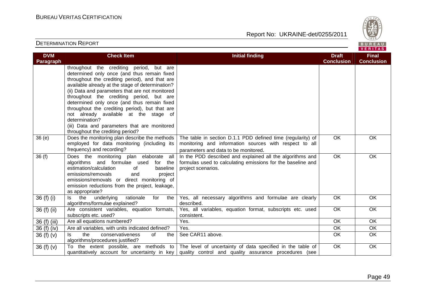

| <b>DVM</b>     | <b>Check Item</b>                                                                                                                                                                                                                                                                                                                                                                                                                                                                                                                            | <b>Initial finding</b>                                                                                                                                                                                   | <b>Draft</b><br><b>Conclusion</b> | <b>Final</b><br><b>Conclusion</b> |
|----------------|----------------------------------------------------------------------------------------------------------------------------------------------------------------------------------------------------------------------------------------------------------------------------------------------------------------------------------------------------------------------------------------------------------------------------------------------------------------------------------------------------------------------------------------------|----------------------------------------------------------------------------------------------------------------------------------------------------------------------------------------------------------|-----------------------------------|-----------------------------------|
| Paragraph      | throughout the crediting period, but are<br>determined only once (and thus remain fixed<br>throughout the crediting period), and that are<br>available already at the stage of determination?<br>(ii) Data and parameters that are not monitored<br>throughout the crediting period, but are<br>determined only once (and thus remain fixed<br>throughout the crediting period), but that are<br>not already available at the stage of<br>determination?<br>(iii) Data and parameters that are monitored<br>throughout the crediting period? |                                                                                                                                                                                                          |                                   |                                   |
| 36(e)          | Does the monitoring plan describe the methods<br>employed for data monitoring (including its<br>frequency) and recording?                                                                                                                                                                                                                                                                                                                                                                                                                    | The table in section D.1.1 PDD defined time (regularity) of<br>monitoring and information sources with respect to all<br>parameters and data to be monitored.                                            | OK                                | OK                                |
| 36(f)          | Does the monitoring plan elaborate all<br>algorithms and formulae used<br>for the<br>estimation/calculation<br>of<br>baseline<br>emissions/removals<br>and<br>project<br>emissions/removals or direct monitoring of<br>emission reductions from the project, leakage,<br>as appropriate?                                                                                                                                                                                                                                                     | In the PDD described and explained all the algorithms and<br>formulas used to calculating emissions for the baseline and<br>project scenarios.                                                           | $\overline{OK}$                   | OK                                |
| 36 $(f)$ $(i)$ | underlying<br>the<br>rationale<br>for<br>the<br>ls.<br>algorithms/formulae explained?                                                                                                                                                                                                                                                                                                                                                                                                                                                        | Yes, all necessary algorithms and formulae are clearly<br>described.                                                                                                                                     | OK                                | OK                                |
| $36(f)$ (ii)   | Are consistent variables, equation formats,<br>subscripts etc. used?                                                                                                                                                                                                                                                                                                                                                                                                                                                                         | Yes, all variables, equation format, subscripts etc. used<br>consistent.                                                                                                                                 | $\overline{OK}$                   | OK                                |
| 36 (f) (iii)   | Are all equations numbered?                                                                                                                                                                                                                                                                                                                                                                                                                                                                                                                  | Yes.                                                                                                                                                                                                     | <b>OK</b>                         | <b>OK</b>                         |
| 36 (f) (iv)    | Are all variables, with units indicated defined?                                                                                                                                                                                                                                                                                                                                                                                                                                                                                             | Yes.                                                                                                                                                                                                     | OK                                | OK                                |
| 36 $(f)(v)$    | the<br>conservativeness<br>of<br>ls.<br>the<br>algorithms/procedures justified?                                                                                                                                                                                                                                                                                                                                                                                                                                                              | See CAR11 above.                                                                                                                                                                                         | OK                                | OK                                |
| 36 $(f)(v)$    |                                                                                                                                                                                                                                                                                                                                                                                                                                                                                                                                              | To the extent possible, are methods to The level of uncertainty of data specified in the table of<br>quantitatively account for uncertainty in key quality control and quality assurance procedures (see | OK                                | OK                                |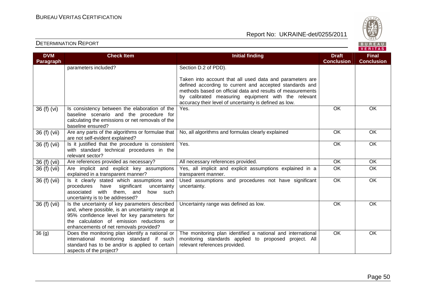

| <b>DVM</b>        | <b>Check Item</b>                                                                | <b>Initial finding</b>                                                                                            | <b>Draft</b>      | <b>Final</b>      |
|-------------------|----------------------------------------------------------------------------------|-------------------------------------------------------------------------------------------------------------------|-------------------|-------------------|
| Paragraph         |                                                                                  |                                                                                                                   | <b>Conclusion</b> | <b>Conclusion</b> |
|                   | parameters included?                                                             | Section D.2 of PDD).                                                                                              |                   |                   |
|                   |                                                                                  |                                                                                                                   |                   |                   |
|                   |                                                                                  | Taken into account that all used data and parameters are                                                          |                   |                   |
|                   |                                                                                  | defined according to current and accepted standards and                                                           |                   |                   |
|                   |                                                                                  | methods based on official data and results of measurements<br>by calibrated measuring equipment with the relevant |                   |                   |
|                   |                                                                                  | accuracy their level of uncertainty is defined as low.                                                            |                   |                   |
| 36 (f) (vi)       | Is consistency between the elaboration of the                                    | Yes.                                                                                                              | OK                | $\overline{OK}$   |
|                   | baseline scenario and the procedure for                                          |                                                                                                                   |                   |                   |
|                   | calculating the emissions or net removals of the                                 |                                                                                                                   |                   |                   |
|                   | baseline ensured?                                                                |                                                                                                                   |                   |                   |
| 36 (f) (vii)      | Are any parts of the algorithms or formulae that                                 | No, all algorithms and formulas clearly explained                                                                 | OK                | OK                |
|                   | are not self-evident explained?                                                  |                                                                                                                   |                   |                   |
| 36 (f) (vii)      | Is it justified that the procedure is consistent                                 | Yes.                                                                                                              | OK                | OK                |
|                   | with standard technical procedures in the                                        |                                                                                                                   |                   |                   |
|                   | relevant sector?                                                                 |                                                                                                                   | $\overline{OK}$   | $\overline{OK}$   |
| 36 (f) (vii)      | Are references provided as necessary?                                            | All necessary references provided.                                                                                |                   |                   |
| 36 (f) (vii)      | Are implicit and explicit key assumptions                                        | Yes, all implicit and explicit assumptions explained in a                                                         | OK                | OK                |
|                   | explained in a transparent manner?<br>Is it clearly stated which assumptions and | transparent manner.<br>Used assumptions and procedures not have significant                                       | $\overline{OK}$   | $\overline{OK}$   |
| 36(f)(vi)         | significant<br>procedures<br>have<br>uncertainty                                 | uncertainty.                                                                                                      |                   |                   |
|                   | with them, and<br>associated<br>how such                                         |                                                                                                                   |                   |                   |
|                   | uncertainty is to be addressed?                                                  |                                                                                                                   |                   |                   |
| 36 (f) (vii)      | Is the uncertainty of key parameters described                                   | Uncertainty range was defined as low.                                                                             | OK                | OK                |
|                   | and, where possible, is an uncertainty range at                                  |                                                                                                                   |                   |                   |
|                   | 95% confidence level for key parameters for                                      |                                                                                                                   |                   |                   |
|                   | the calculation of emission reductions or                                        |                                                                                                                   |                   |                   |
|                   | enhancements of net removals provided?                                           |                                                                                                                   |                   |                   |
| 36 <sub>(g)</sub> | Does the monitoring plan identify a national or                                  | The monitoring plan identified a national and international                                                       | OK                | OK                |
|                   | international monitoring standard if such                                        | monitoring standards applied to proposed project. All                                                             |                   |                   |
|                   | standard has to be and/or is applied to certain                                  | relevant references provided.                                                                                     |                   |                   |
|                   | aspects of the project?                                                          |                                                                                                                   |                   |                   |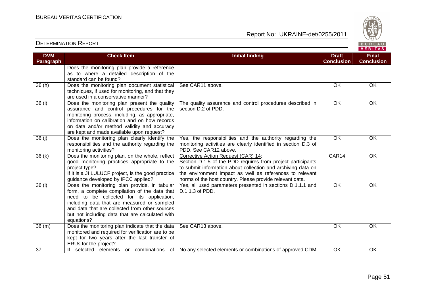

| <b>DVM</b><br>Paragraph | <b>Check Item</b>                                                                                                                                                                                                                                                                                            | <b>Initial finding</b>                                                                                                                                                                                                                                                                     | <b>Draft</b><br><b>Conclusion</b> | <b>Final</b><br><b>Conclusion</b> |
|-------------------------|--------------------------------------------------------------------------------------------------------------------------------------------------------------------------------------------------------------------------------------------------------------------------------------------------------------|--------------------------------------------------------------------------------------------------------------------------------------------------------------------------------------------------------------------------------------------------------------------------------------------|-----------------------------------|-----------------------------------|
|                         | Does the monitoring plan provide a reference<br>as to where a detailed description of the<br>standard can be found?                                                                                                                                                                                          |                                                                                                                                                                                                                                                                                            |                                   |                                   |
| 36(h)                   | Does the monitoring plan document statistical<br>techniques, if used for monitoring, and that they<br>are used in a conservative manner?                                                                                                                                                                     | See CAR11 above.                                                                                                                                                                                                                                                                           | OK                                | <b>OK</b>                         |
| 36 (i)                  | Does the monitoring plan present the quality<br>assurance and control procedures for the<br>monitoring process, including, as appropriate,<br>information on calibration and on how records<br>on data and/or method validity and accuracy<br>are kept and made available upon request?                      | The quality assurance and control procedures described in<br>section D.2 of PDD.                                                                                                                                                                                                           | <b>OK</b>                         | OK                                |
| 36 (j)                  | Does the monitoring plan clearly identify the<br>responsibilities and the authority regarding the<br>monitoring activities?                                                                                                                                                                                  | Yes, the responsibilities and the authority regarding the<br>monitoring activities are clearly identified in section D.3 of<br>PDD. See CAR12 above.                                                                                                                                       | $\overline{OK}$                   | <b>OK</b>                         |
| 36(k)                   | Does the monitoring plan, on the whole, reflect<br>good monitoring practices appropriate to the<br>project type?<br>If it is a JI LULUCF project, is the good practice<br>guidance developed by IPCC applied?                                                                                                | Corrective Action Request (CAR) 14:<br>Section D.1.5 of the PDD requires from project participants<br>to submit information about collection and archiving data on<br>the environment impact as well as references to relevant<br>norms of the host country. Please provide relevant data. | CAR14                             | OK                                |
| 36 (l)                  | Does the monitoring plan provide, in tabular<br>form, a complete compilation of the data that<br>need to be collected for its application,<br>including data that are measured or sampled<br>and data that are collected from other sources<br>but not including data that are calculated with<br>equations? | Yes, all used parameters presented in sections D.1.1.1 and<br>D.1.1.3 of PDD.                                                                                                                                                                                                              | <b>OK</b>                         | <b>OK</b>                         |
| 36(m)                   | Does the monitoring plan indicate that the data<br>monitored and required for verification are to be<br>kept for two years after the last transfer of<br>ERUs for the project?                                                                                                                               | See CAR13 above.                                                                                                                                                                                                                                                                           | OK                                | OK                                |
| 37                      | If selected elements or combinations of                                                                                                                                                                                                                                                                      | No any selected elements or combinations of approved CDM                                                                                                                                                                                                                                   | OK                                | OK                                |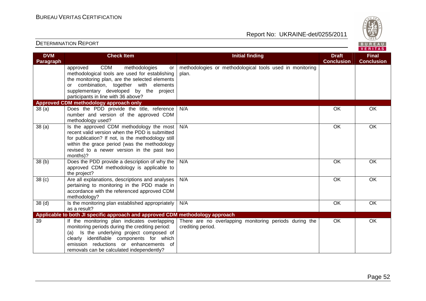

| <b>DVM</b><br>Paragraph | <b>Check Item</b>                                                                                                                                                                                                                                                                   | <b>Initial finding</b>                                                      | <b>Draft</b><br><b>Conclusion</b> | <b>Final</b><br><b>Conclusion</b> |
|-------------------------|-------------------------------------------------------------------------------------------------------------------------------------------------------------------------------------------------------------------------------------------------------------------------------------|-----------------------------------------------------------------------------|-----------------------------------|-----------------------------------|
|                         | <b>CDM</b><br>approved<br>methodologies<br>or<br>methodological tools are used for establishing<br>the monitoring plan, are the selected elements<br>or combination, together with elements<br>supplementary developed by the project<br>participants in line with 36 above?        | methodologies or methodological tools used in monitoring<br>plan.           |                                   |                                   |
|                         | Approved CDM methodology approach only                                                                                                                                                                                                                                              |                                                                             |                                   |                                   |
| 38(a)                   | Does the PDD provide the title, reference<br>number and version of the approved CDM<br>methodology used?                                                                                                                                                                            | N/A                                                                         | OK                                | OK                                |
| 38(a)                   | Is the approved CDM methodology the most<br>recent valid version when the PDD is submitted<br>for publication? If not, is the methodology still<br>within the grace period (was the methodology<br>revised to a newer version in the past two<br>months)?                           | N/A                                                                         | $\overline{OK}$                   | OK                                |
| 38(b)                   | Does the PDD provide a description of why the<br>approved CDM methodology is applicable to<br>the project?                                                                                                                                                                          | N/A                                                                         | OK                                | $\overline{OK}$                   |
| 38 <sub>(c)</sub>       | Are all explanations, descriptions and analyses<br>pertaining to monitoring in the PDD made in<br>accordance with the referenced approved CDM<br>methodology?                                                                                                                       | N/A                                                                         | OK                                | OK                                |
| 38 <sub>(d)</sub>       | Is the monitoring plan established appropriately<br>as a result?                                                                                                                                                                                                                    | N/A                                                                         | OK                                | OK                                |
|                         | Applicable to both JI specific approach and approved CDM methodology approach                                                                                                                                                                                                       |                                                                             |                                   |                                   |
| 39                      | If the monitoring plan indicates overlapping<br>monitoring periods during the crediting period:<br>Is the underlying project composed of<br>(a)<br>clearly identifiable components for which<br>emission reductions or enhancements of<br>removals can be calculated independently? | There are no overlapping monitoring periods during the<br>crediting period. | <b>OK</b>                         | OK                                |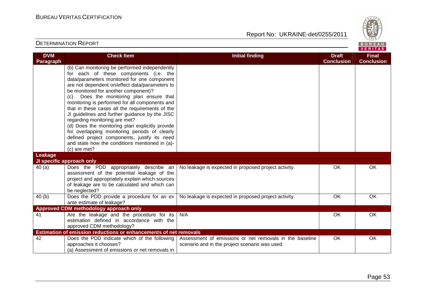

| <b>DVM</b> | <b>Check Item</b>                                                                                | <b>Initial finding</b>                                  | <b>Draft</b>      | <b>Final</b>      |
|------------|--------------------------------------------------------------------------------------------------|---------------------------------------------------------|-------------------|-------------------|
| Paragraph  |                                                                                                  |                                                         | <b>Conclusion</b> | <b>Conclusion</b> |
|            | (b) Can monitoring be performed independently                                                    |                                                         |                   |                   |
|            | for each of these components (i.e. the                                                           |                                                         |                   |                   |
|            | data/parameters monitored for one component                                                      |                                                         |                   |                   |
|            | are not dependent on/effect data/parameters to                                                   |                                                         |                   |                   |
|            | be monitored for another component)?                                                             |                                                         |                   |                   |
|            | Does the monitoring plan ensure that<br>(c)                                                      |                                                         |                   |                   |
|            | monitoring is performed for all components and                                                   |                                                         |                   |                   |
|            | that in these cases all the requirements of the                                                  |                                                         |                   |                   |
|            | JI guidelines and further guidance by the JISC                                                   |                                                         |                   |                   |
|            | regarding monitoring are met?                                                                    |                                                         |                   |                   |
|            | (d) Does the monitoring plan explicitly provide<br>for overlapping monitoring periods of clearly |                                                         |                   |                   |
|            | defined project components, justify its need                                                     |                                                         |                   |                   |
|            | and state how the conditions mentioned in (a)-                                                   |                                                         |                   |                   |
|            | (c) are met?                                                                                     |                                                         |                   |                   |
| Leakage    |                                                                                                  |                                                         |                   |                   |
|            | JI specific approach only                                                                        |                                                         |                   |                   |
| 40(a)      | Does the PDD appropriately describe an                                                           | No leakage is expected in proposed project activity.    | <b>OK</b>         | $\overline{OK}$   |
|            | assessment of the potential leakage of the                                                       |                                                         |                   |                   |
|            | project and appropriately explain which sources                                                  |                                                         |                   |                   |
|            | of leakage are to be calculated and which can                                                    |                                                         |                   |                   |
|            | be neglected?                                                                                    |                                                         |                   |                   |
| 40(b)      | Does the PDD provide a procedure for an ex                                                       | No leakage is expected in proposed project activity.    | OK                | OK                |
|            | ante estimate of leakage?                                                                        |                                                         |                   |                   |
|            | Approved CDM methodology approach only                                                           |                                                         |                   |                   |
| 41         | Are the leakage and the procedure for its                                                        | N/A                                                     | OK                | OK                |
|            | estimation defined in accordance with the                                                        |                                                         |                   |                   |
|            | approved CDM methodology?                                                                        |                                                         |                   |                   |
|            | Estimation of emission reductions or enhancements of net removals                                |                                                         |                   |                   |
| 42         | Does the PDD indicate which of the following                                                     | Assessment of emissions or net removals in the baseline | OK.               | OK                |
|            | approaches it chooses?                                                                           | scenario and in the project scenario was used.          |                   |                   |
|            | (a) Assessment of emissions or net removals in                                                   |                                                         |                   |                   |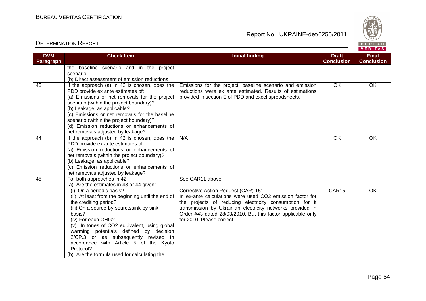

| <b>DVM</b> | <b>Check Item</b>                                                         | <b>Initial finding</b>                                      | <b>Draft</b>      | <b>Final</b>      |
|------------|---------------------------------------------------------------------------|-------------------------------------------------------------|-------------------|-------------------|
| Paragraph  |                                                                           |                                                             | <b>Conclusion</b> | <b>Conclusion</b> |
|            | the baseline scenario and in the project                                  |                                                             |                   |                   |
|            | scenario                                                                  |                                                             |                   |                   |
|            | (b) Direct assessment of emission reductions                              |                                                             |                   |                   |
| 43         | If the approach (a) in 42 is chosen, does the                             | Emissions for the project, baseline scenario and emission   | OK                | <b>OK</b>         |
|            | PDD provide ex ante estimates of:                                         | reductions were ex ante estimated. Results of estimations   |                   |                   |
|            | (a) Emissions or net removals for the project                             | provided in section E of PDD and excel spreadsheets.        |                   |                   |
|            | scenario (within the project boundary)?                                   |                                                             |                   |                   |
|            | (b) Leakage, as applicable?                                               |                                                             |                   |                   |
|            | (c) Emissions or net removals for the baseline                            |                                                             |                   |                   |
|            | scenario (within the project boundary)?                                   |                                                             |                   |                   |
|            | (d) Emission reductions or enhancements of                                |                                                             |                   |                   |
|            | net removals adjusted by leakage?                                         |                                                             |                   |                   |
| 44         | If the approach (b) in 42 is chosen, does the                             | N/A                                                         | OK                | <b>OK</b>         |
|            | PDD provide ex ante estimates of:                                         |                                                             |                   |                   |
|            | (a) Emission reductions or enhancements of                                |                                                             |                   |                   |
|            | net removals (within the project boundary)?                               |                                                             |                   |                   |
|            | (b) Leakage, as applicable?<br>(c) Emission reductions or enhancements of |                                                             |                   |                   |
|            | net removals adjusted by leakage?                                         |                                                             |                   |                   |
| 45         | For both approaches in 42                                                 | See CAR11 above.                                            |                   |                   |
|            | (a) Are the estimates in 43 or 44 given:                                  |                                                             |                   |                   |
|            | (i) On a periodic basis?                                                  | Corrective Action Request (CAR) 15:                         | CAR15             | OK                |
|            | (ii) At least from the beginning until the end of                         | In ex-ante calculations were used CO2 emission factor for   |                   |                   |
|            | the crediting period?                                                     | the projects of reducing electricity consumption for it     |                   |                   |
|            | (iii) On a source-by-source/sink-by-sink                                  | transmission by Ukrainian electricity networks provided in  |                   |                   |
|            | basis?                                                                    | Order #43 dated 28/03/2010. But this factor applicable only |                   |                   |
|            | (iv) For each GHG?                                                        | for 2010. Please correct.                                   |                   |                   |
|            | (v) In tones of CO2 equivalent, using global                              |                                                             |                   |                   |
|            | warming potentials defined by decision                                    |                                                             |                   |                   |
|            | 2/CP.3 or as subsequently revised in                                      |                                                             |                   |                   |
|            | accordance with Article 5 of the Kyoto                                    |                                                             |                   |                   |
|            | Protocol?                                                                 |                                                             |                   |                   |
|            | (b) Are the formula used for calculating the                              |                                                             |                   |                   |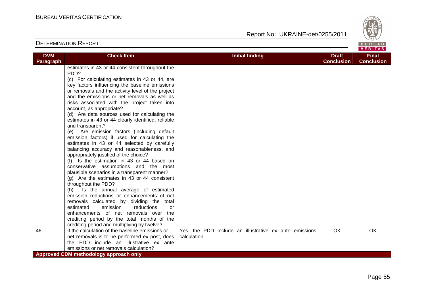

| Report No: UKRAINE-det/0255/2011 |
|----------------------------------|
|                                  |

| <b>DVM</b>       | <b>Check Item</b>                                  | <b>Initial finding</b>                                 | <b>Draft</b>      | <b>Final</b>      |
|------------------|----------------------------------------------------|--------------------------------------------------------|-------------------|-------------------|
| <b>Paragraph</b> |                                                    |                                                        | <b>Conclusion</b> | <b>Conclusion</b> |
|                  | estimates in 43 or 44 consistent throughout the    |                                                        |                   |                   |
|                  | PDD?                                               |                                                        |                   |                   |
|                  | (c) For calculating estimates in 43 or 44, are     |                                                        |                   |                   |
|                  | key factors influencing the baseline emissions     |                                                        |                   |                   |
|                  | or removals and the activity level of the project  |                                                        |                   |                   |
|                  | and the emissions or net removals as well as       |                                                        |                   |                   |
|                  | risks associated with the project taken into       |                                                        |                   |                   |
|                  | account, as appropriate?                           |                                                        |                   |                   |
|                  | (d) Are data sources used for calculating the      |                                                        |                   |                   |
|                  | estimates in 43 or 44 clearly identified, reliable |                                                        |                   |                   |
|                  | and transparent?                                   |                                                        |                   |                   |
|                  | (e) Are emission factors (including default        |                                                        |                   |                   |
|                  | emission factors) if used for calculating the      |                                                        |                   |                   |
|                  | estimates in 43 or 44 selected by carefully        |                                                        |                   |                   |
|                  | balancing accuracy and reasonableness, and         |                                                        |                   |                   |
|                  | appropriately justified of the choice?             |                                                        |                   |                   |
|                  | (f) Is the estimation in 43 or 44 based on         |                                                        |                   |                   |
|                  | conservative assumptions and the most              |                                                        |                   |                   |
|                  | plausible scenarios in a transparent manner?       |                                                        |                   |                   |
|                  | $(g)$ Are the estimates in 43 or 44 consistent     |                                                        |                   |                   |
|                  | throughout the PDD?                                |                                                        |                   |                   |
|                  | Is the annual average of estimated<br>(h)          |                                                        |                   |                   |
|                  | emission reductions or enhancements of net         |                                                        |                   |                   |
|                  | removals calculated by dividing the total          |                                                        |                   |                   |
|                  | estimated<br>emission<br>reductions<br>or          |                                                        |                   |                   |
|                  | enhancements of net removals over the              |                                                        |                   |                   |
|                  | crediting period by the total months of the        |                                                        |                   |                   |
|                  | crediting period and multiplying by twelve?        |                                                        |                   |                   |
| 46               | If the calculation of the baseline emissions or    | Yes, the PDD include an illustrative ex ante emissions | OK.               | OK.               |
|                  | net removals is to be performed ex post, does      | calculation.                                           |                   |                   |
|                  | the PDD include an illustrative ex ante            |                                                        |                   |                   |
|                  | emissions or net removals calculation?             |                                                        |                   |                   |
|                  | Approved CDM methodology approach only             |                                                        |                   |                   |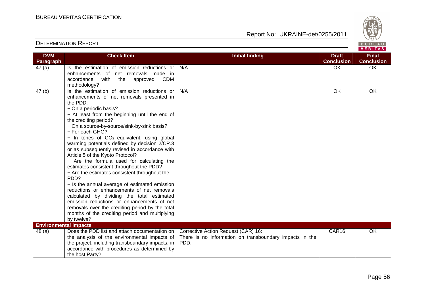

| <b>DVM</b>                   | <b>Check Item</b>                                        | <b>Initial finding</b>                                  | <b>Draft</b>      | <b>Final</b>      |
|------------------------------|----------------------------------------------------------|---------------------------------------------------------|-------------------|-------------------|
| Paragraph                    |                                                          |                                                         | <b>Conclusion</b> | <b>Conclusion</b> |
| 47(a)                        | Is the estimation of emission reductions or              | N/A                                                     | OK                | <b>OK</b>         |
|                              | enhancements of net removals made in                     |                                                         |                   |                   |
|                              | accordance<br>with the<br>approved<br>CDM                |                                                         |                   |                   |
|                              | methodology?                                             |                                                         |                   |                   |
| 47(b)                        | Is the estimation of emission reductions or              | N/A                                                     | OK                | OK                |
|                              | enhancements of net removals presented in                |                                                         |                   |                   |
|                              | the PDD:                                                 |                                                         |                   |                   |
|                              | - On a periodic basis?                                   |                                                         |                   |                   |
|                              | - At least from the beginning until the end of           |                                                         |                   |                   |
|                              | the crediting period?                                    |                                                         |                   |                   |
|                              | - On a source-by-source/sink-by-sink basis?              |                                                         |                   |                   |
|                              | - For each GHG?                                          |                                                         |                   |                   |
|                              | $-$ In tones of CO <sub>2</sub> equivalent, using global |                                                         |                   |                   |
|                              | warming potentials defined by decision 2/CP.3            |                                                         |                   |                   |
|                              | or as subsequently revised in accordance with            |                                                         |                   |                   |
|                              | Article 5 of the Kyoto Protocol?                         |                                                         |                   |                   |
|                              | - Are the formula used for calculating the               |                                                         |                   |                   |
|                              | estimates consistent throughout the PDD?                 |                                                         |                   |                   |
|                              | - Are the estimates consistent throughout the            |                                                         |                   |                   |
|                              | PDD?                                                     |                                                         |                   |                   |
|                              | - Is the annual average of estimated emission            |                                                         |                   |                   |
|                              | reductions or enhancements of net removals               |                                                         |                   |                   |
|                              | calculated by dividing the total estimated               |                                                         |                   |                   |
|                              | emission reductions or enhancements of net               |                                                         |                   |                   |
|                              | removals over the crediting period by the total          |                                                         |                   |                   |
|                              | months of the crediting period and multiplying           |                                                         |                   |                   |
|                              | by twelve?                                               |                                                         |                   |                   |
| <b>Environmental impacts</b> |                                                          |                                                         |                   |                   |
| 48(a)                        | Does the PDD list and attach documentation on            | Corrective Action Request (CAR) 16:                     | CAR16             | <b>OK</b>         |
|                              | the analysis of the environmental impacts of             | There is no information on transboundary impacts in the |                   |                   |
|                              | the project, including transboundary impacts, in         | PDD.                                                    |                   |                   |
|                              | accordance with procedures as determined by              |                                                         |                   |                   |
|                              | the host Party?                                          |                                                         |                   |                   |
|                              |                                                          |                                                         |                   |                   |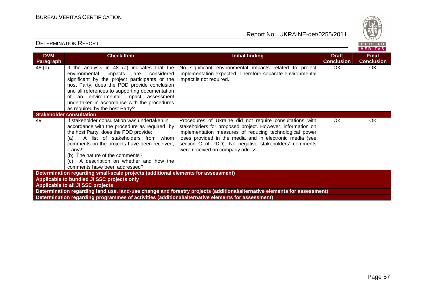

| <b>DVM</b> | <b>Check Item</b>                                                                                                                                                                                                                                                                                                                                                           | <b>Initial finding</b>                                                                                                                                                                                                                                                                                                                     | <b>Draft</b>      | <b>Final</b>      |
|------------|-----------------------------------------------------------------------------------------------------------------------------------------------------------------------------------------------------------------------------------------------------------------------------------------------------------------------------------------------------------------------------|--------------------------------------------------------------------------------------------------------------------------------------------------------------------------------------------------------------------------------------------------------------------------------------------------------------------------------------------|-------------------|-------------------|
| Paragraph  |                                                                                                                                                                                                                                                                                                                                                                             |                                                                                                                                                                                                                                                                                                                                            | <b>Conclusion</b> | <b>Conclusion</b> |
| 48 (b)     | If the analysis in 48 (a) indicates that the<br>environmental<br>impacts<br>considered<br>are<br>significant by the project participants or the<br>host Party, does the PDD provide conclusion<br>and all references to supporting documentation<br>of an environmental impact assessment<br>undertaken in accordance with the procedures<br>as required by the host Party? | No significant environmental impacts related to project<br>implementation expected. Therefore separate environmental<br>impact is not required.                                                                                                                                                                                            | OK.               | OK                |
|            | <b>Stakeholder consultation</b>                                                                                                                                                                                                                                                                                                                                             |                                                                                                                                                                                                                                                                                                                                            |                   |                   |
| 49         | If stakeholder consultation was undertaken in<br>accordance with the procedure as required by<br>the host Party, does the PDD provide:<br>A list of stakeholders from whom<br>(a)<br>comments on the projects have been received,<br>if any?<br>(b) The nature of the comments?<br>(c) A description on whether and how the<br>comments have been addressed?                | Procedures of Ukraine did not require consultations with<br>stakeholders for proposed project. However, information on<br>implementation measures of reducing technological power<br>loses provided in the media and in electronic media (see<br>section G of PDD). No negative stakeholders' comments<br>were received on company adress. | <b>OK</b>         | OK                |
|            | Determination regarding small-scale projects (additional elements for assessment)                                                                                                                                                                                                                                                                                           |                                                                                                                                                                                                                                                                                                                                            |                   |                   |
|            | Applicable to bundled JI SSC projects only                                                                                                                                                                                                                                                                                                                                  |                                                                                                                                                                                                                                                                                                                                            |                   |                   |
|            | <b>Applicable to all JI SSC projects</b>                                                                                                                                                                                                                                                                                                                                    |                                                                                                                                                                                                                                                                                                                                            |                   |                   |
|            |                                                                                                                                                                                                                                                                                                                                                                             | Determination regarding land use, land-use change and forestry projects (additional/alternative elements for assessment)                                                                                                                                                                                                                   |                   |                   |
|            | Determination regarding programmes of activities (additional/alternative elements for assessment)                                                                                                                                                                                                                                                                           |                                                                                                                                                                                                                                                                                                                                            |                   |                   |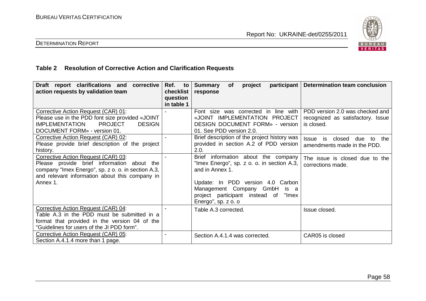

# DETERMINATION REPORT

# **Table 2 Resolution of Corrective Action and Clarification Requests**

| Draft report clarifications and<br>corrective<br>action requests by validation team                                                                                                                   | Ref.<br>to<br>checklist<br>question | <b>Summary</b><br>project<br><b>of</b><br>response                                                                                                                                                                                          | participant   Determination team conclusion                                        |
|-------------------------------------------------------------------------------------------------------------------------------------------------------------------------------------------------------|-------------------------------------|---------------------------------------------------------------------------------------------------------------------------------------------------------------------------------------------------------------------------------------------|------------------------------------------------------------------------------------|
| Corrective Action Request (CAR) 01:<br>Please use in the PDD font size provided «JOINT<br><b>PROJECT</b><br><b>IMPLEMENTATION</b><br><b>DESIGN</b><br>DOCUMENT FORM» - version 01.                    | in table 1                          | Font size was corrected in line with<br>«JOINT IMPLEMENTATION PROJECT<br>DESIGN DOCUMENT FORM» - version<br>01. See PDD version 2.0.                                                                                                        | PDD version 2.0 was checked and<br>recognized as satisfactory. Issue<br>is closed. |
| Corrective Action Request (CAR) 02:<br>Please provide brief description of the project<br>history.                                                                                                    |                                     | Brief description of the project history was<br>provided in section A.2 of PDD version<br>2.0.                                                                                                                                              | <b>Issue</b><br>closed<br>the<br>is<br>due<br>to<br>amendments made in the PDD.    |
| Corrective Action Request (CAR) 03:<br>Please provide brief information about the<br>company "Imex Energo", sp. z o. o. in section A.3,<br>and relevant information about this company in<br>Annex 1. |                                     | Brief information about the company<br>"Imex Energo", sp. z o. o. in section A.3,<br>and in Annex 1.<br>Update: In PDD version 4.0 Carbon<br>Management Company GmbH is a<br>project participant instead of<br>"Imex<br>Energo", sp. z o. o | The issue is closed due to the<br>corrections made.                                |
| Corrective Action Request (CAR) 04:<br>Table A.3 in the PDD must be submitted in a<br>format that provided in the version 04 of the<br>"Guidelines for users of the JI PDD form".                     |                                     | Table A.3 corrected.                                                                                                                                                                                                                        | Issue closed.                                                                      |
| Corrective Action Request (CAR) 05:<br>Section A.4.1.4 more than 1 page.                                                                                                                              |                                     | Section A.4.1.4 was corrected.                                                                                                                                                                                                              | CAR05 is closed                                                                    |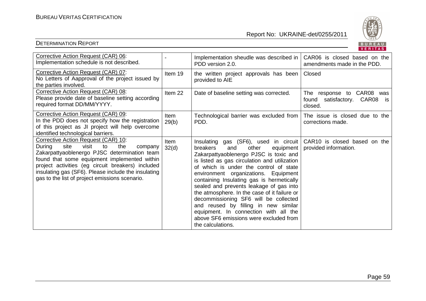

|                                                                                                                                                                                                                                                                                                                                                      |                      |                                                                                                                                                                                                                                                                                                                                                                                                                                                                                                                                                                                               | <b>VERITAS</b>                                                             |
|------------------------------------------------------------------------------------------------------------------------------------------------------------------------------------------------------------------------------------------------------------------------------------------------------------------------------------------------------|----------------------|-----------------------------------------------------------------------------------------------------------------------------------------------------------------------------------------------------------------------------------------------------------------------------------------------------------------------------------------------------------------------------------------------------------------------------------------------------------------------------------------------------------------------------------------------------------------------------------------------|----------------------------------------------------------------------------|
| Corrective Action Request (CAR) 06:<br>Implementation schedule is not described.                                                                                                                                                                                                                                                                     |                      | Implementation sheudle was described in<br>PDD version 2.0.                                                                                                                                                                                                                                                                                                                                                                                                                                                                                                                                   | CAR06 is closed based on the<br>amendments made in the PDD.                |
| Corrective Action Request (CAR) 07:<br>No Letters of Aapproval of the project issued by<br>the parties involved.                                                                                                                                                                                                                                     | Item 19              | the written project approvals has been<br>provided to AIE                                                                                                                                                                                                                                                                                                                                                                                                                                                                                                                                     | Closed                                                                     |
| Corrective Action Request (CAR) 08:<br>Please provide date of baseline setting according<br>required format DD/MM/YYYY.                                                                                                                                                                                                                              | Item 22              | Date of baseline setting was corrected.                                                                                                                                                                                                                                                                                                                                                                                                                                                                                                                                                       | The response to CAR08<br>was<br>satisfactory. CAR08 is<br>found<br>closed. |
| Corrective Action Request (CAR) 09:<br>In the PDD does not specify how the registration<br>of this project as JI project will help overcome<br>identified technological barriers.                                                                                                                                                                    | Item<br>29(b)        | Technological barrier was excluded from  <br>PDD.                                                                                                                                                                                                                                                                                                                                                                                                                                                                                                                                             | The issue is closed due to the<br>corrections made.                        |
| Corrective Action Request (CAR) 10:<br>visit<br>the<br>During<br>site<br>to<br>company<br>Zakarpattyaoblenergo PJSC determination team<br>found that some equipment implemented within<br>project activities (eg circuit breakers) included<br>insulating gas (SF6). Please include the insulating<br>gas to the list of project emissions scenario. | <b>Item</b><br>32(d) | Insulating gas (SF6), used in circuit<br>breakers<br>other<br>and<br>equipment  <br>Zakarpattyaoblenergo PJSC is toxic and<br>is listed as gas circulation and utilization<br>of which is under the control of state<br>environment organizations. Equipment<br>containing Insulating gas is hermetically<br>sealed and prevents leakage of gas into<br>the atmosphere. In the case of it failure or<br>decommissioning SF6 will be collected<br>and reused by filling in new similar<br>equipment. In connection with all the<br>above SF6 emissions were excluded from<br>the calculations. | CAR10 is closed based on the<br>provided information.                      |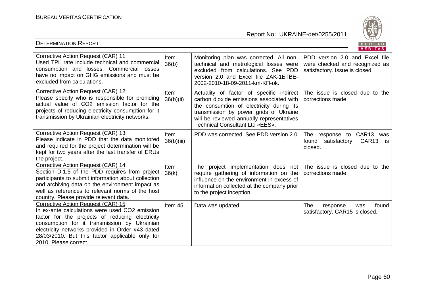

|                                                                                                                                                                                                                                                                                                                          |                      |                                                                                                                                                                                                                                                                                           | VENIIAS.                                                                                           |
|--------------------------------------------------------------------------------------------------------------------------------------------------------------------------------------------------------------------------------------------------------------------------------------------------------------------------|----------------------|-------------------------------------------------------------------------------------------------------------------------------------------------------------------------------------------------------------------------------------------------------------------------------------------|----------------------------------------------------------------------------------------------------|
| Corrective Action Request (CAR) 11:<br>Used TPL rate include technical and commercial<br>consumption and losses. Commercial losses<br>have no impact on GHG emissions and must be<br>excluded from calculations.                                                                                                         | <b>Item</b><br>36(b) | Monitoring plan was corrected. All non-<br>technical and metrological losses were<br>excluded from calculations. See PDD<br>version 2.0 and Excel file ZAK-15TBE-<br>2002-2010-18-09-2011-km-KN-ok.                                                                                       | PDD version 2.0 and Excel file<br>were checked and recognized as<br>satisfactory. Issue is closed. |
| Corrective Action Request (CAR) 12:<br>Please specify who is responsible for proniding<br>actual value of CO2 emission factor for the<br>projects of reducing electricity consumption for it<br>transmission by Ukrainian electricity networks.                                                                          | Item<br>36(b)(ii)    | Actuality of factor of specific indirect The issue is closed due to the<br>carbon dioxide emissions associated with<br>the consumtion of electricity during its<br>transmission by power grids of Ukraine<br>will be reviewed annually representatives<br>Technical Consultant Ltd «EES». | corrections made.                                                                                  |
| Corrective Action Request (CAR) 13:<br>Please indicate in PDD that the data monitored<br>and required for the project determination will be<br>kept for two years after the last transfer of ERUs<br>the project.                                                                                                        | Item<br>36(b)(iii)   | PDD was corrected. See PDD version 2.0                                                                                                                                                                                                                                                    | response to CAR13<br>The<br>was<br>satisfactory. CAR13<br>found<br><b>is</b><br>closed.            |
| Corrective Action Request (CAR) 14:<br>Section D.1.5 of the PDD requires from project<br>participants to submit information about collection<br>and archiving data on the environment impact as<br>well as references to relevant norms of the host<br>country. Please provide relevant data.                            | <b>Item</b><br>36(k) | The project implementation does not<br>require gathering of information on the<br>influence on the environment in excess of<br>information collected at the company prior<br>to the project inception.                                                                                    | The issue is closed due to the<br>corrections made.                                                |
| Corrective Action Request (CAR) 15:<br>In ex-ante calculations were used CO2 emission<br>factor for the projects of reducing electricity<br>consumption for it transmission by Ukrainian<br>electricity networks provided in Order #43 dated<br>28/03/2010. But this factor applicable only for<br>2010. Please correct. | Item 45              | Data was updated.                                                                                                                                                                                                                                                                         | The<br>response<br>found<br>was<br>satisfactory. CAR15 is closed.                                  |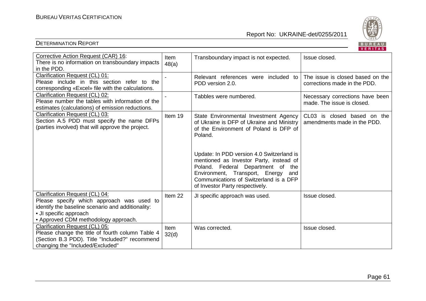

|                                                                                                                                                                                                    |                      |                                                                                                                                                                                                                                                 | $V = H + H - H$                                                  |
|----------------------------------------------------------------------------------------------------------------------------------------------------------------------------------------------------|----------------------|-------------------------------------------------------------------------------------------------------------------------------------------------------------------------------------------------------------------------------------------------|------------------------------------------------------------------|
| Corrective Action Request (CAR) 16:<br>There is no information on transboundary impacts<br>in the PDD.                                                                                             | Item<br>48(a)        | Transboundary impact is not expected.                                                                                                                                                                                                           | Issue closed.                                                    |
| Clarification Request (CL) 01:<br>Please include in this section refer to the<br>corresponding «Excel» file with the calculations.                                                                 | $\blacksquare$       | Relevant references were included to<br>PDD version 2.0.                                                                                                                                                                                        | The issue is closed based on the<br>corrections made in the PDD. |
| Clarification Request (CL) 02:<br>Please number the tables with information of the<br>estimates (calculations) of emission reductions.                                                             |                      | Tabbles were numbered.                                                                                                                                                                                                                          | Necessary corrections have been<br>made. The issue is closed.    |
| Clarification Request (CL) 03:<br>Section A.5 PDD must specify the name DFPs<br>(parties involved) that will approve the project.                                                                  | Item 19              | State Environmental Investment Agency<br>of Ukraine is DFP of Ukraine and Ministry<br>of the Environment of Poland is DFP of<br>Poland.                                                                                                         | CL03 is closed based on the<br>amendments made in the PDD.       |
|                                                                                                                                                                                                    |                      | Update: In PDD version 4.0 Switzerland is<br>mentioned as Investor Party, instead of<br>Poland. Federal Department of the<br>Environment, Transport, Energy<br>and<br>Communications of Switzerland is a DFP<br>of Investor Party respectively. |                                                                  |
| Clarification Request (CL) 04:<br>Please specify which approach was used to<br>identify the baseline scenario and additionality:<br>• JI specific approach<br>• Approved CDM methodology approach. | Item 22              | JI specific approach was used.                                                                                                                                                                                                                  | Issue closed.                                                    |
| Clarification Request (CL) 05:<br>Please change the title of fourth column Table 4<br>(Section B.3 PDD). Title "Included?" recommend<br>changing the "Included/Excluded"                           | <b>Item</b><br>32(d) | Was corrected.                                                                                                                                                                                                                                  | Issue closed.                                                    |